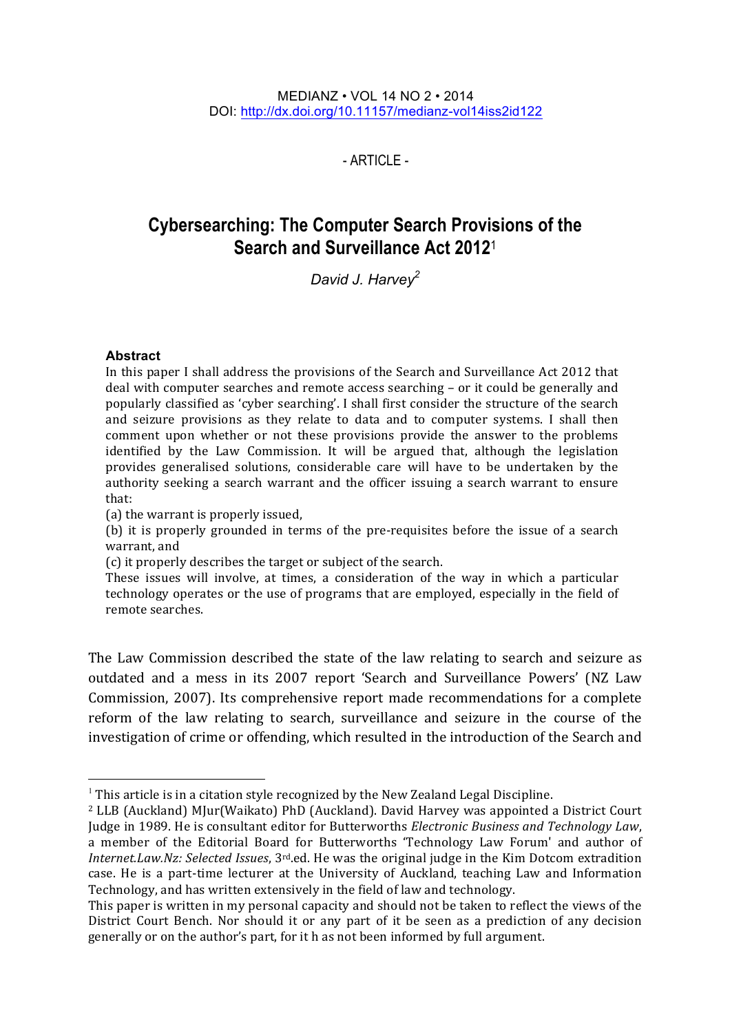$-$  ARTICLE -

# **Cybersearching: The Computer Search Provisions of the Search and Surveillance Act 2012**<sup>1</sup>

*David J. Harvey2*

#### **Abstract**

In this paper I shall address the provisions of the Search and Surveillance Act 2012 that deal with computer searches and remote access searching – or it could be generally and popularly classified as 'cyber searching'. I shall first consider the structure of the search and seizure provisions as they relate to data and to computer systems. I shall then comment upon whether or not these provisions provide the answer to the problems identified by the Law Commission. It will be argued that, although the legislation provides generalised solutions, considerable care will have to be undertaken by the authority seeking a search warrant and the officer issuing a search warrant to ensure that:

(a) the warrant is properly issued,

(b) it is properly grounded in terms of the pre-requisites before the issue of a search warrant, and

(c) it properly describes the target or subject of the search.

These issues will involve, at times, a consideration of the way in which a particular technology operates or the use of programs that are employed, especially in the field of remote searches.

The Law Commission described the state of the law relating to search and seizure as outdated and a mess in its 2007 report 'Search and Surveillance Powers' (NZ Law Commission, 2007). Its comprehensive report made recommendations for a complete reform of the law relating to search, surveillance and seizure in the course of the investigation of crime or offending, which resulted in the introduction of the Search and

 $1$  This article is in a citation style recognized by the New Zealand Legal Discipline.

<sup>&</sup>lt;sup>2</sup> LLB (Auckland) MJur(Waikato) PhD (Auckland). David Harvey was appointed a District Court Judge in 1989. He is consultant editor for Butterworths *Electronic Business and Technology Law*, a member of the Editorial Board for Butterworths 'Technology Law Forum' and author of *Internet.Law.Nz: Selected Issues*, 3<sup>rd</sup>.ed. He was the original judge in the Kim Dotcom extradition case. He is a part-time lecturer at the University of Auckland, teaching Law and Information Technology, and has written extensively in the field of law and technology.

This paper is written in my personal capacity and should not be taken to reflect the views of the District Court Bench. Nor should it or any part of it be seen as a prediction of any decision generally or on the author's part, for it h as not been informed by full argument.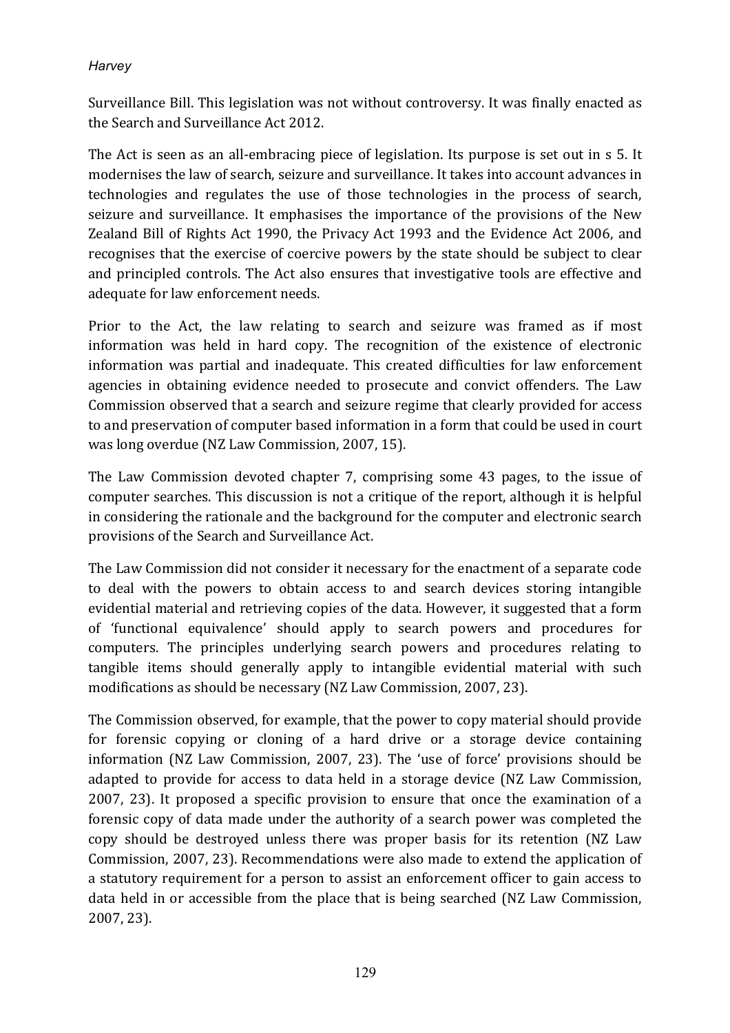Surveillance Bill. This legislation was not without controversy. It was finally enacted as the Search and Surveillance Act 2012.

The Act is seen as an all-embracing piece of legislation. Its purpose is set out in s 5. It modernises the law of search, seizure and surveillance. It takes into account advances in technologies and regulates the use of those technologies in the process of search, seizure and surveillance. It emphasises the importance of the provisions of the New Zealand Bill of Rights Act 1990, the Privacy Act 1993 and the Evidence Act 2006, and recognises that the exercise of coercive powers by the state should be subject to clear and principled controls. The Act also ensures that investigative tools are effective and adequate for law enforcement needs.

Prior to the Act, the law relating to search and seizure was framed as if most information was held in hard copy. The recognition of the existence of electronic information was partial and inadequate. This created difficulties for law enforcement agencies in obtaining evidence needed to prosecute and convict offenders. The Law Commission observed that a search and seizure regime that clearly provided for access to and preservation of computer based information in a form that could be used in court was long overdue (NZ Law Commission, 2007, 15).

The Law Commission devoted chapter 7, comprising some 43 pages, to the issue of computer searches. This discussion is not a critique of the report, although it is helpful in considering the rationale and the background for the computer and electronic search provisions of the Search and Surveillance Act.

The Law Commission did not consider it necessary for the enactment of a separate code to deal with the powers to obtain access to and search devices storing intangible evidential material and retrieving copies of the data. However, it suggested that a form of 'functional equivalence' should apply to search powers and procedures for computers. The principles underlying search powers and procedures relating to tangible items should generally apply to intangible evidential material with such modifications as should be necessary (NZ Law Commission, 2007, 23).

The Commission observed, for example, that the power to copy material should provide for forensic copying or cloning of a hard drive or a storage device containing information (NZ Law Commission, 2007, 23). The 'use of force' provisions should be adapted to provide for access to data held in a storage device (NZ Law Commission, 2007, 23). It proposed a specific provision to ensure that once the examination of a forensic copy of data made under the authority of a search power was completed the copy should be destroyed unless there was proper basis for its retention (NZ Law Commission, 2007, 23). Recommendations were also made to extend the application of a statutory requirement for a person to assist an enforcement officer to gain access to data held in or accessible from the place that is being searched (NZ Law Commission, 2007, 23).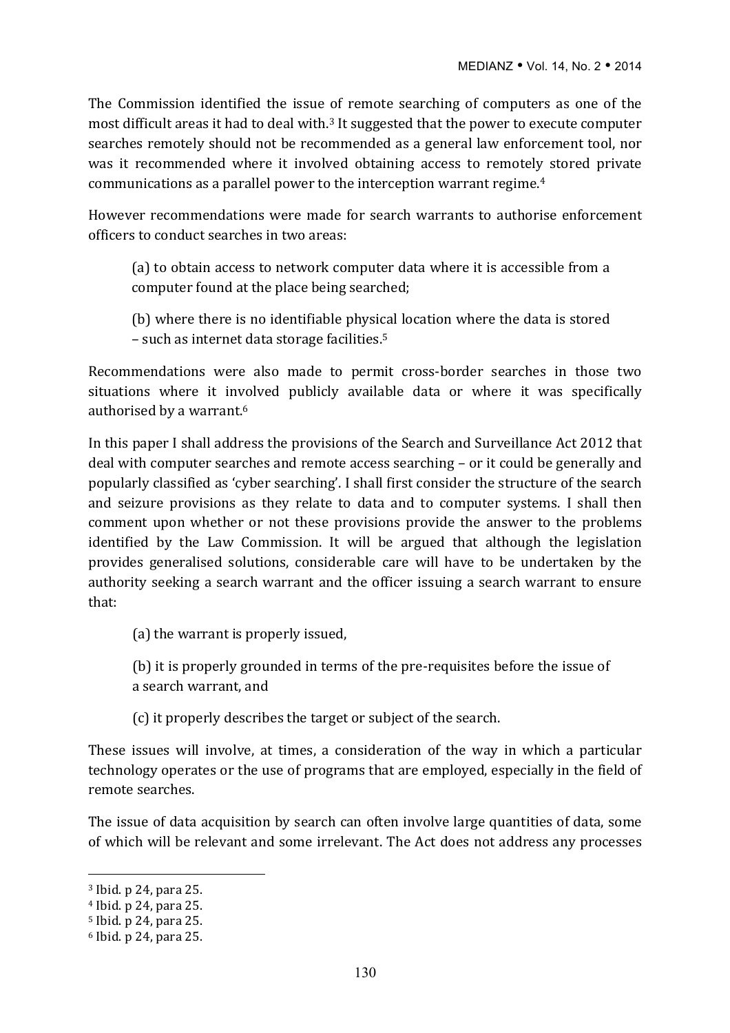The Commission identified the issue of remote searching of computers as one of the most difficult areas it had to deal with.<sup>3</sup> It suggested that the power to execute computer searches remotely should not be recommended as a general law enforcement tool, nor was it recommended where it involved obtaining access to remotely stored private communications as a parallel power to the interception warrant regime.<sup>4</sup>

However recommendations were made for search warrants to authorise enforcement officers to conduct searches in two areas:

(a) to obtain access to network computer data where it is accessible from a computer found at the place being searched;

(b) where there is no identifiable physical location where the data is stored  $-$  such as internet data storage facilities.<sup>5</sup>

Recommendations were also made to permit cross-border searches in those two situations where it involved publicly available data or where it was specifically authorised by a warrant.<sup>6</sup>

In this paper I shall address the provisions of the Search and Surveillance Act 2012 that deal with computer searches and remote access searching – or it could be generally and popularly classified as 'cyber searching'. I shall first consider the structure of the search and seizure provisions as they relate to data and to computer systems. I shall then comment upon whether or not these provisions provide the answer to the problems identified by the Law Commission. It will be argued that although the legislation provides generalised solutions, considerable care will have to be undertaken by the authority seeking a search warrant and the officer issuing a search warrant to ensure that:

(a) the warrant is properly issued,

(b) it is properly grounded in terms of the pre-requisites before the issue of a search warrant, and

(c) it properly describes the target or subject of the search.

These issues will involve, at times, a consideration of the way in which a particular technology operates or the use of programs that are employed, especially in the field of remote searches.

The issue of data acquisition by search can often involve large quantities of data, some of which will be relevant and some irrelevant. The Act does not address any processes

 $3$  Ibid. p 24, para 25.

 $4$  Ibid. p 24, para 25.

<sup>&</sup>lt;sup>5</sup> Ibid. p 24, para 25.

 $6$  Ibid. p 24. para 25.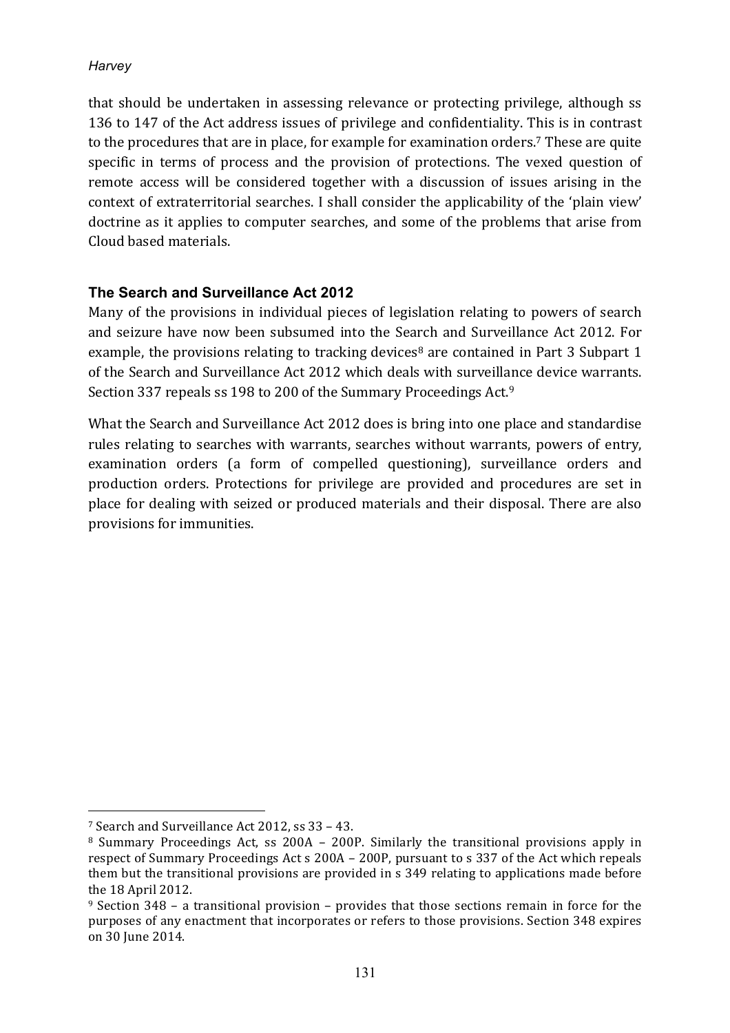that should be undertaken in assessing relevance or protecting privilege, although ss 136 to 147 of the Act address issues of privilege and confidentiality. This is in contrast to the procedures that are in place, for example for examination orders.<sup>7</sup> These are quite specific in terms of process and the provision of protections. The vexed question of remote access will be considered together with a discussion of issues arising in the context of extraterritorial searches. I shall consider the applicability of the 'plain view' doctrine as it applies to computer searches, and some of the problems that arise from Cloud based materials.

## **The Search and Surveillance Act 2012**

Many of the provisions in individual pieces of legislation relating to powers of search and seizure have now been subsumed into the Search and Surveillance Act 2012. For example, the provisions relating to tracking devices<sup>8</sup> are contained in Part 3 Subpart 1 of the Search and Surveillance Act 2012 which deals with surveillance device warrants. Section 337 repeals ss 198 to 200 of the Summary Proceedings Act.<sup>9</sup>

What the Search and Surveillance Act 2012 does is bring into one place and standardise rules relating to searches with warrants, searches without warrants, powers of entry, examination orders (a form of compelled questioning), surveillance orders and production orders. Protections for privilege are provided and procedures are set in place for dealing with seized or produced materials and their disposal. There are also provisions for immunities.

<sup>&</sup>lt;sup>7</sup> Search and Surveillance Act 2012, ss 33 - 43.

 $8$  Summary Proceedings Act, ss 200A – 200P. Similarly the transitional provisions apply in respect of Summary Proceedings Act s 200A – 200P, pursuant to s 337 of the Act which repeals them but the transitional provisions are provided in s 349 relating to applications made before the 18 April 2012.

 $9$  Section 348 – a transitional provision – provides that those sections remain in force for the purposes of any enactment that incorporates or refers to those provisions. Section 348 expires on 30 Iune 2014.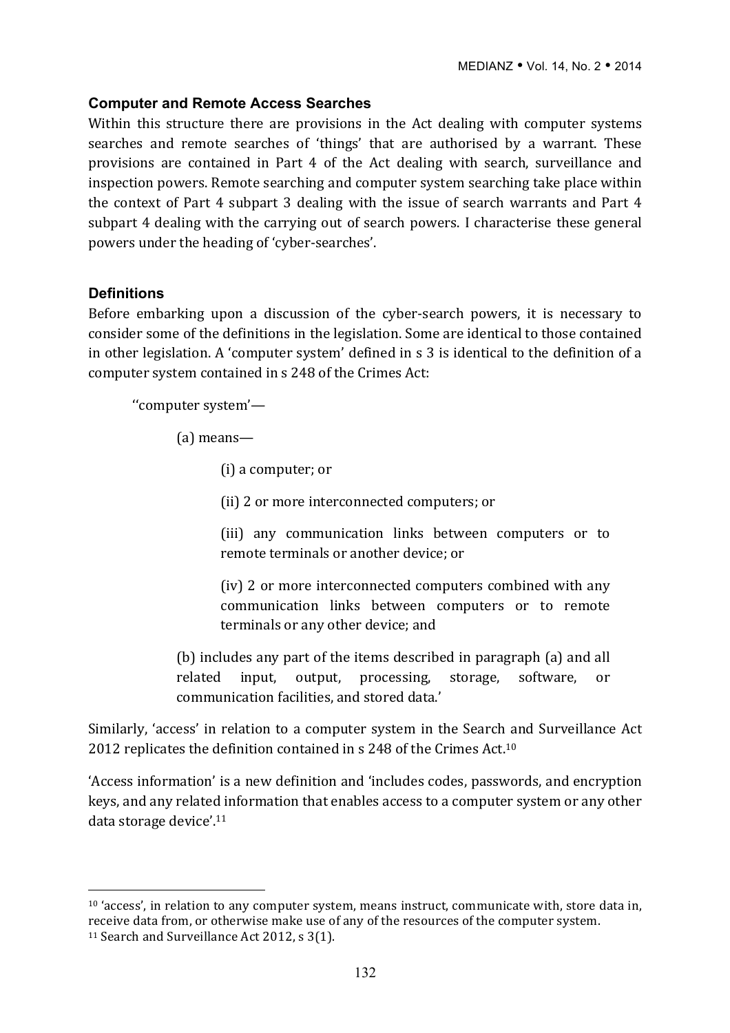#### **Computer and Remote Access Searches**

Within this structure there are provisions in the Act dealing with computer systems searches and remote searches of 'things' that are authorised by a warrant. These provisions are contained in Part 4 of the Act dealing with search, surveillance and inspection powers. Remote searching and computer system searching take place within the context of Part 4 subpart 3 dealing with the issue of search warrants and Part  $4$ subpart 4 dealing with the carrying out of search powers. I characterise these general powers under the heading of 'cyber-searches'.

#### **Definitions**

 $\overline{a}$ 

Before embarking upon a discussion of the cyber-search powers, it is necessary to consider some of the definitions in the legislation. Some are identical to those contained in other legislation. A 'computer system' defined in s 3 is identical to the definition of a computer system contained in s 248 of the Crimes Act:

''computer system'—

(a) means—

(i) a computer; or

(ii) 2 or more interconnected computers; or

(iii) any communication links between computers or to remote terminals or another device; or

(iv) 2 or more interconnected computers combined with any communication links between computers or to remote terminals or any other device; and

(b) includes any part of the items described in paragraph (a) and all related input, output, processing, storage, software, or communication facilities, and stored data.'

Similarly, 'access' in relation to a computer system in the Search and Surveillance Act 2012 replicates the definition contained in s 248 of the Crimes Act.<sup>10</sup>

'Access information' is a new definition and 'includes codes, passwords, and encryption keys, and any related information that enables access to a computer system or any other data storage device'. $11$ 

 $10$  'access', in relation to any computer system, means instruct, communicate with, store data in, receive data from, or otherwise make use of any of the resources of the computer system. <sup>11</sup> Search and Surveillance Act 2012, s 3(1).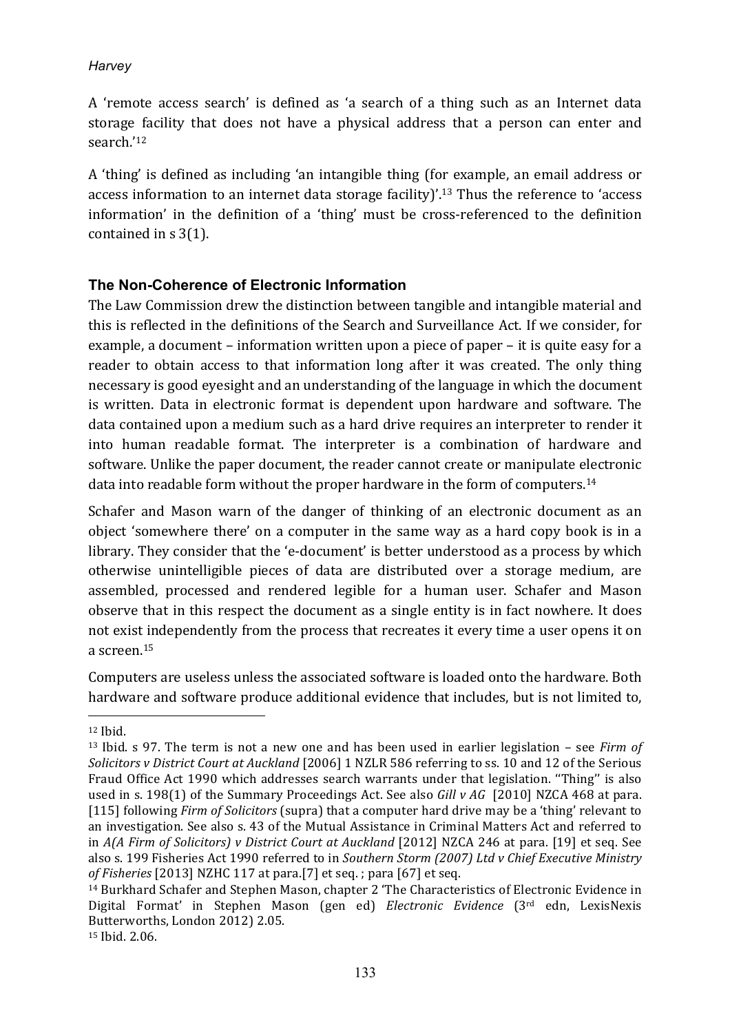A 'remote access search' is defined as 'a search of a thing such as an Internet data storage facility that does not have a physical address that a person can enter and search.'12

A 'thing' is defined as including 'an intangible thing (for example, an email address or access information to an internet data storage facility)'.<sup>13</sup> Thus the reference to 'access information' in the definition of a 'thing' must be cross-referenced to the definition contained in  $s$  3(1).

## **The Non-Coherence of Electronic Information**

The Law Commission drew the distinction between tangible and intangible material and this is reflected in the definitions of the Search and Surveillance Act. If we consider, for example, a document  $-$  information written upon a piece of paper  $-$  it is quite easy for a reader to obtain access to that information long after it was created. The only thing necessary is good evesight and an understanding of the language in which the document is written. Data in electronic format is dependent upon hardware and software. The data contained upon a medium such as a hard drive requires an interpreter to render it into human readable format. The interpreter is a combination of hardware and software. Unlike the paper document, the reader cannot create or manipulate electronic data into readable form without the proper hardware in the form of computers.<sup>14</sup>

Schafer and Mason warn of the danger of thinking of an electronic document as an object 'somewhere there' on a computer in the same way as a hard copy book is in a library. They consider that the 'e-document' is better understood as a process by which otherwise unintelligible pieces of data are distributed over a storage medium, are assembled, processed and rendered legible for a human user. Schafer and Mason observe that in this respect the document as a single entity is in fact nowhere. It does not exist independently from the process that recreates it every time a user opens it on a screen.15

Computers are useless unless the associated software is loaded onto the hardware. Both hardware and software produce additional evidence that includes, but is not limited to,

<sup>12</sup> Ibid.

<sup>&</sup>lt;sup>13</sup> Ibid. s 97. The term is not a new one and has been used in earlier legislation – see *Firm of Solicitors v* District Court at Auckland [2006] 1 NZLR 586 referring to ss. 10 and 12 of the Serious Fraud Office Act 1990 which addresses search warrants under that legislation. "Thing" is also used in s. 198(1) of the Summary Proceedings Act. See also *Gill v AG* [2010] NZCA 468 at para. [115] following *Firm of Solicitors* (supra) that a computer hard drive may be a 'thing' relevant to an investigation. See also s. 43 of the Mutual Assistance in Criminal Matters Act and referred to in *A(A Firm of Solicitors) v* District Court at Auckland [2012] NZCA 246 at para. [19] et seq. See also s. 199 Fisheries Act 1990 referred to in *Southern Storm (2007)* Ltd v Chief Executive Ministry *of Fisheries* [2013] NZHC 117 at para.[7] et seq. ; para [67] et seq.

<sup>&</sup>lt;sup>14</sup> Burkhard Schafer and Stephen Mason, chapter 2 'The Characteristics of Electronic Evidence in Digital Format' in Stephen Mason (gen ed) *Electronic Evidence* (3<sup>rd</sup> edn, LexisNexis Butterworths, London 2012) 2.05. <sup>15</sup> Ibid. 2.06.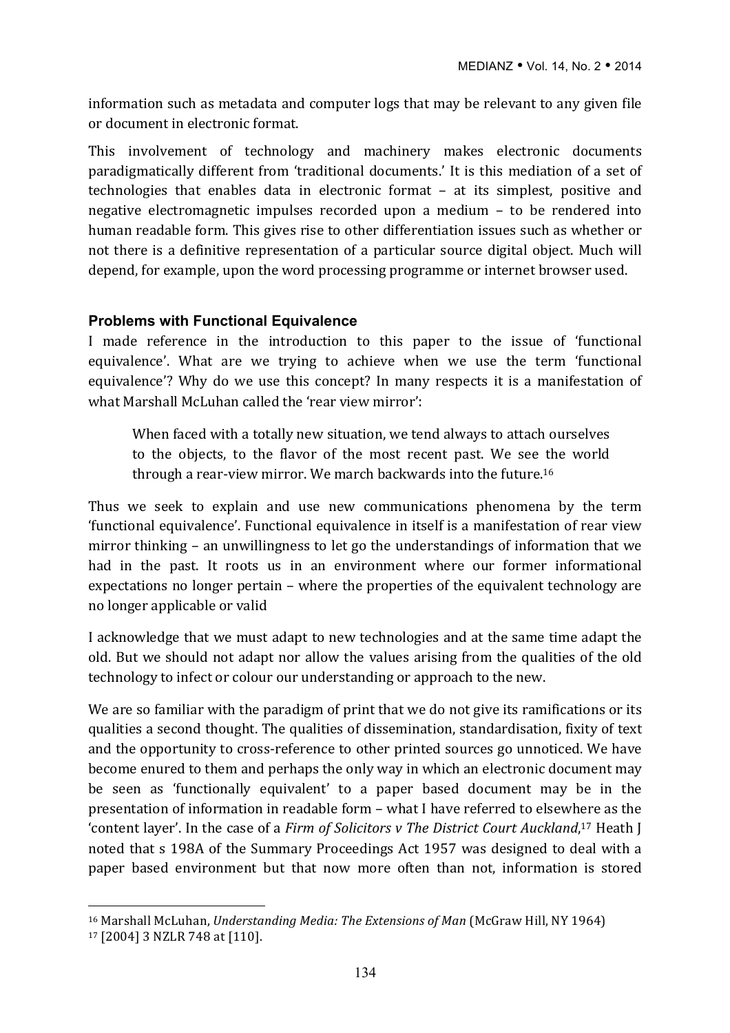information such as metadata and computer logs that may be relevant to any given file or document in electronic format.

This involvement of technology and machinery makes electronic documents paradigmatically different from 'traditional documents.' It is this mediation of a set of technologies that enables data in electronic format  $-$  at its simplest, positive and negative electromagnetic impulses recorded upon a medium  $-$  to be rendered into human readable form. This gives rise to other differentiation issues such as whether or not there is a definitive representation of a particular source digital object. Much will depend, for example, upon the word processing programme or internet browser used.

#### **Problems with Functional Equivalence**

I made reference in the introduction to this paper to the issue of 'functional equivalence'. What are we trying to achieve when we use the term 'functional equivalence'? Why do we use this concept? In many respects it is a manifestation of what Marshall McLuhan called the 'rear view mirror':

When faced with a totally new situation, we tend always to attach ourselves to the objects, to the flavor of the most recent past. We see the world through a rear-view mirror. We march backwards into the future.<sup>16</sup>

Thus we seek to explain and use new communications phenomena by the term 'functional equivalence'. Functional equivalence in itself is a manifestation of rear view mirror thinking – an unwillingness to let go the understandings of information that we had in the past. It roots us in an environment where our former informational expectations no longer pertain – where the properties of the equivalent technology are no longer applicable or valid

I acknowledge that we must adapt to new technologies and at the same time adapt the old. But we should not adapt nor allow the values arising from the qualities of the old technology to infect or colour our understanding or approach to the new.

We are so familiar with the paradigm of print that we do not give its ramifications or its qualities a second thought. The qualities of dissemination, standardisation, fixity of text and the opportunity to cross-reference to other printed sources go unnoticed. We have become enured to them and perhaps the only way in which an electronic document may be seen as 'functionally equivalent' to a paper based document may be in the presentation of information in readable form – what I have referred to elsewhere as the 'content layer'. In the case of a *Firm of Solicitors v The District Court Auckland*,<sup>17</sup> Heath J noted that s 198A of the Summary Proceedings Act 1957 was designed to deal with a paper based environment but that now more often than not, information is stored

<sup>&</sup>lt;sup>16</sup> Marshall McLuhan, *Understanding Media: The Extensions of Man* (McGraw Hill, NY 1964)

<sup>17 [2004] 3</sup> NZLR 748 at [110].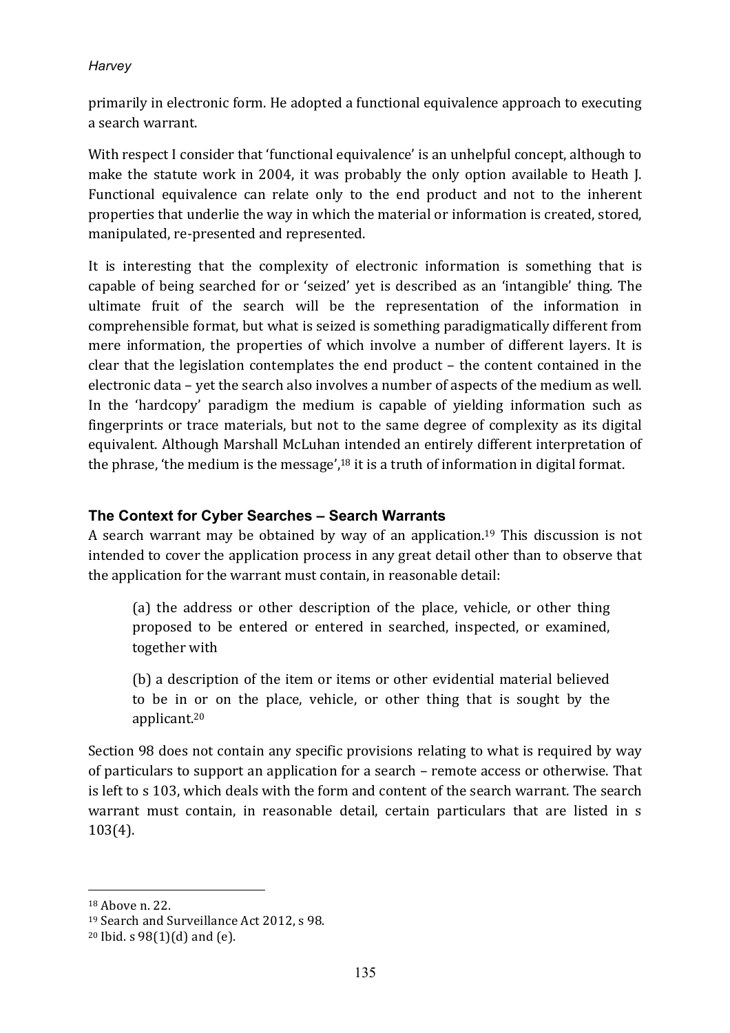primarily in electronic form. He adopted a functional equivalence approach to executing a search warrant.

With respect I consider that 'functional equivalence' is an unhelpful concept, although to make the statute work in 2004, it was probably the only option available to Heath J. Functional equivalence can relate only to the end product and not to the inherent properties that underlie the way in which the material or information is created, stored, manipulated, re-presented and represented.

It is interesting that the complexity of electronic information is something that is capable of being searched for or 'seized' yet is described as an 'intangible' thing. The ultimate fruit of the search will be the representation of the information in comprehensible format, but what is seized is something paradigmatically different from mere information, the properties of which involve a number of different layers. It is clear that the legislation contemplates the end product  $-$  the content contained in the electronic data – yet the search also involves a number of aspects of the medium as well. In the 'hardcopy' paradigm the medium is capable of yielding information such as fingerprints or trace materials, but not to the same degree of complexity as its digital equivalent. Although Marshall McLuhan intended an entirely different interpretation of the phrase, 'the medium is the message', $^{18}$  it is a truth of information in digital format.

## **The Context for Cyber Searches – Search Warrants**

A search warrant may be obtained by way of an application.<sup>19</sup> This discussion is not intended to cover the application process in any great detail other than to observe that the application for the warrant must contain, in reasonable detail:

(a) the address or other description of the place, vehicle, or other thing proposed to be entered or entered in searched, inspected, or examined, together with

(b) a description of the item or items or other evidential material believed to be in or on the place, vehicle, or other thing that is sought by the applicant.20

Section 98 does not contain any specific provisions relating to what is required by way of particulars to support an application for a search – remote access or otherwise. That is left to s 103, which deals with the form and content of the search warrant. The search warrant must contain, in reasonable detail, certain particulars that are listed in s 103(4).

<sup>&</sup>lt;sup>18</sup> Above n. 22.

<sup>&</sup>lt;sup>19</sup> Search and Surveillance Act 2012, s 98.

 $20$  Ibid. s  $98(1)(d)$  and  $(e)$ .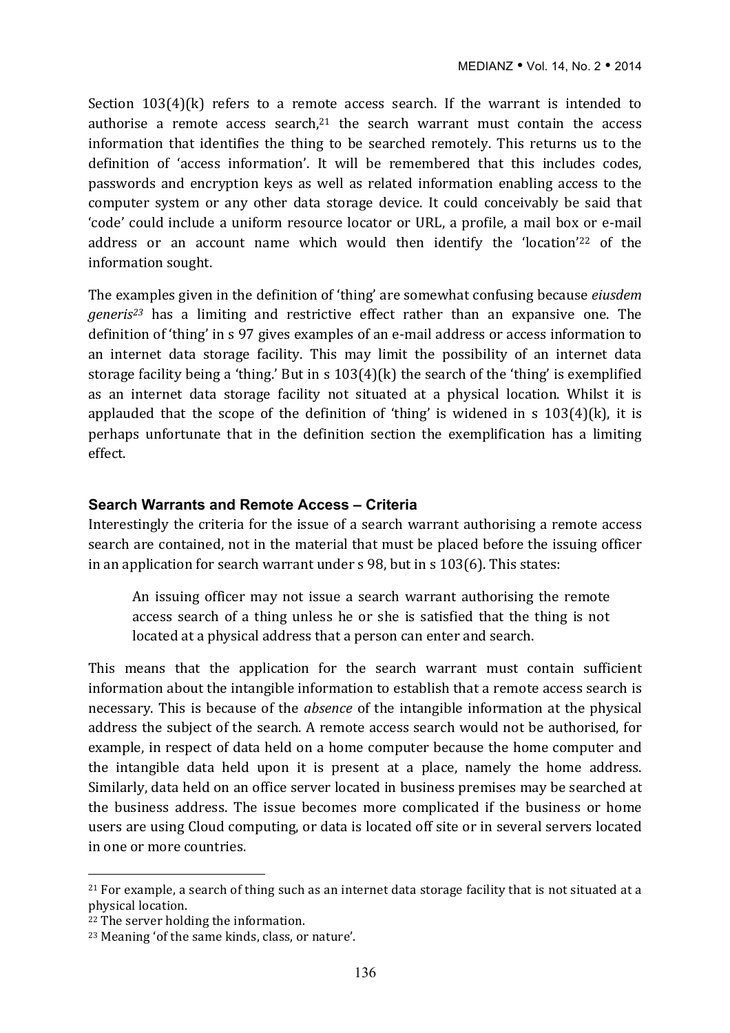Section  $103(4)(k)$  refers to a remote access search. If the warrant is intended to authorise a remote access search, $21$  the search warrant must contain the access information that identifies the thing to be searched remotely. This returns us to the definition of 'access information'. It will be remembered that this includes codes, passwords and encryption keys as well as related information enabling access to the computer system or any other data storage device. It could conceivably be said that 'code' could include a uniform resource locator or URL, a profile, a mail box or e-mail address or an account name which would then identify the 'location'<sup>22</sup> of the information sought.

The examples given in the definition of 'thing' are somewhat confusing because *eiusdem generis*<sup>23</sup> has a limiting and restrictive effect rather than an expansive one. The definition of 'thing' in s 97 gives examples of an e-mail address or access information to an internet data storage facility. This may limit the possibility of an internet data storage facility being a 'thing.' But in s  $103(4)(k)$  the search of the 'thing' is exemplified as an internet data storage facility not situated at a physical location. Whilst it is applauded that the scope of the definition of 'thing' is widened in s  $103(4)(k)$ , it is perhaps unfortunate that in the definition section the exemplification has a limiting effect.

#### **Search Warrants and Remote Access – Criteria**

Interestingly the criteria for the issue of a search warrant authorising a remote access search are contained, not in the material that must be placed before the issuing officer in an application for search warrant under  $s$  98, but in  $s$  103(6). This states:

An issuing officer may not issue a search warrant authorising the remote access search of a thing unless he or she is satisfied that the thing is not located at a physical address that a person can enter and search.

This means that the application for the search warrant must contain sufficient information about the intangible information to establish that a remote access search is necessary. This is because of the *absence* of the intangible information at the physical address the subject of the search. A remote access search would not be authorised, for example, in respect of data held on a home computer because the home computer and the intangible data held upon it is present at a place, namely the home address. Similarly, data held on an office server located in business premises may be searched at the business address. The issue becomes more complicated if the business or home users are using Cloud computing, or data is located off site or in several servers located in one or more countries.

 $21$  For example, a search of thing such as an internet data storage facility that is not situated at a physical location.

 $22$  The server holding the information.

<sup>&</sup>lt;sup>23</sup> Meaning 'of the same kinds, class, or nature'.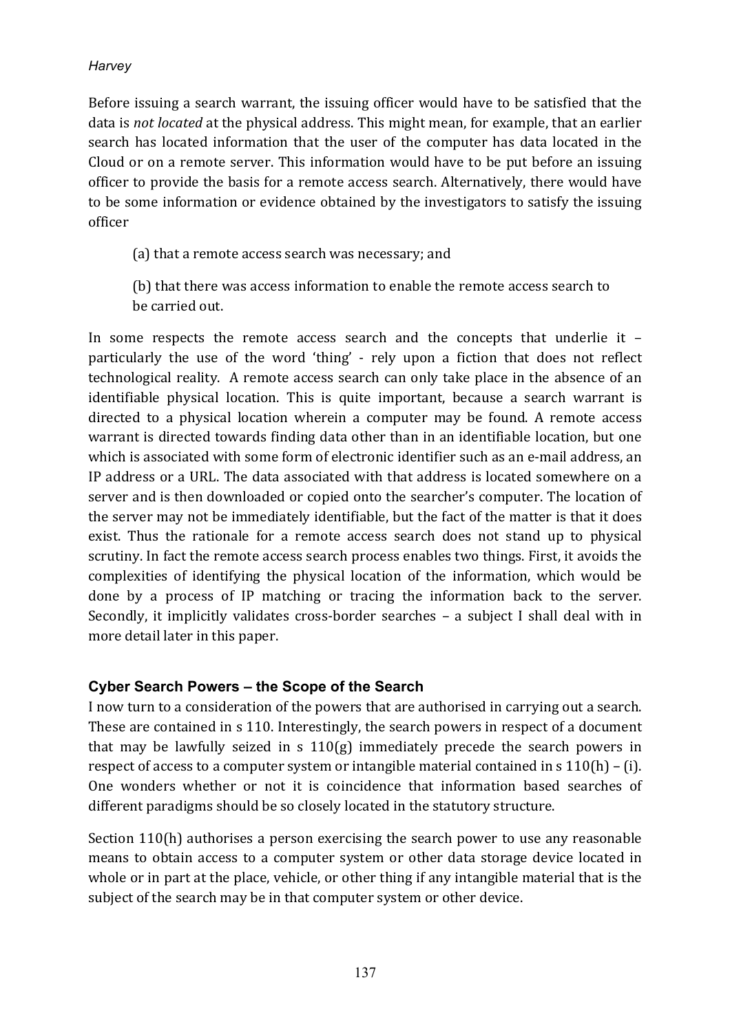Before issuing a search warrant, the issuing officer would have to be satisfied that the data is *not located* at the physical address. This might mean, for example, that an earlier search has located information that the user of the computer has data located in the Cloud or on a remote server. This information would have to be put before an issuing officer to provide the basis for a remote access search. Alternatively, there would have to be some information or evidence obtained by the investigators to satisfy the issuing officer

(a) that a remote access search was necessary; and

(b) that there was access information to enable the remote access search to be carried out.

In some respects the remote access search and the concepts that underlie it particularly the use of the word 'thing' - rely upon a fiction that does not reflect technological reality. A remote access search can only take place in the absence of an identifiable physical location. This is quite important, because a search warrant is directed to a physical location wherein a computer may be found. A remote access warrant is directed towards finding data other than in an identifiable location, but one which is associated with some form of electronic identifier such as an e-mail address, an IP address or a URL. The data associated with that address is located somewhere on a server and is then downloaded or copied onto the searcher's computer. The location of the server may not be immediately identifiable, but the fact of the matter is that it does exist. Thus the rationale for a remote access search does not stand up to physical scrutiny. In fact the remote access search process enables two things. First, it avoids the complexities of identifying the physical location of the information, which would be done by a process of IP matching or tracing the information back to the server. Secondly, it implicitly validates cross-border searches  $-$  a subject I shall deal with in more detail later in this paper.

## **Cyber Search Powers – the Scope of the Search**

I now turn to a consideration of the powers that are authorised in carrying out a search. These are contained in s 110. Interestingly, the search powers in respect of a document that may be lawfully seized in s  $110(g)$  immediately precede the search powers in respect of access to a computer system or intangible material contained in  $s 110(h) - (i)$ . One wonders whether or not it is coincidence that information based searches of different paradigms should be so closely located in the statutory structure.

Section  $110(h)$  authorises a person exercising the search power to use any reasonable means to obtain access to a computer system or other data storage device located in whole or in part at the place, vehicle, or other thing if any intangible material that is the subject of the search may be in that computer system or other device.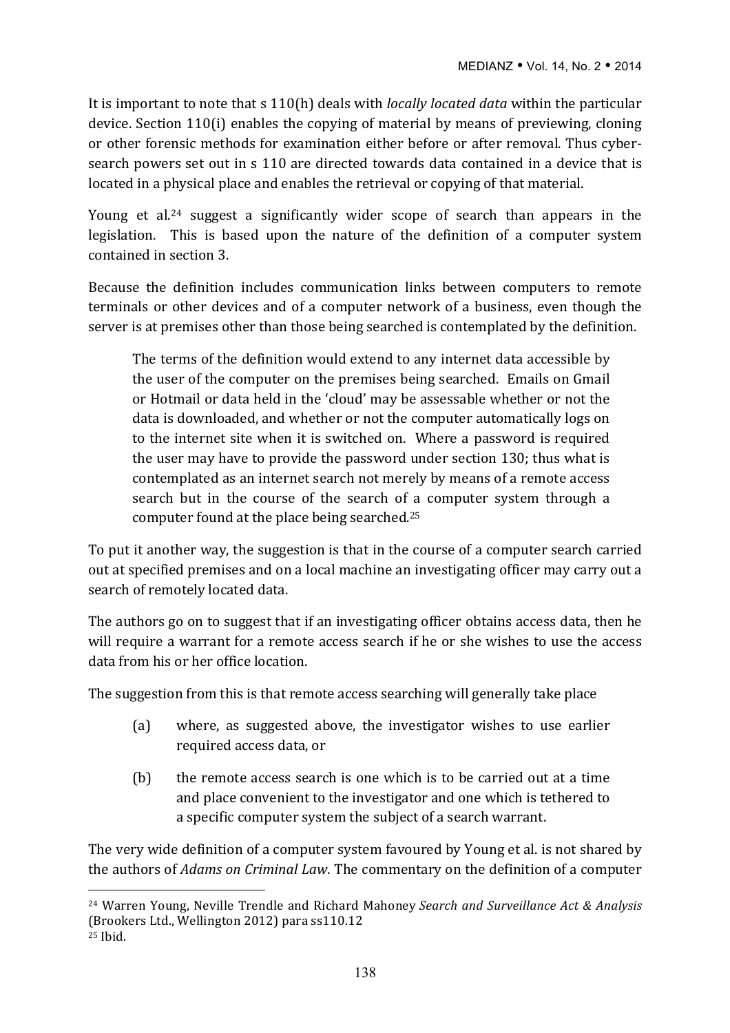It is important to note that s 110(h) deals with *locally located data* within the particular device. Section  $110(i)$  enables the copying of material by means of previewing, cloning or other forensic methods for examination either before or after removal. Thus cybersearch powers set out in s 110 are directed towards data contained in a device that is located in a physical place and enables the retrieval or copying of that material.

Young et al.<sup>24</sup> suggest a significantly wider scope of search than appears in the legislation. This is based upon the nature of the definition of a computer system contained in section 3.

Because the definition includes communication links between computers to remote terminals or other devices and of a computer network of a business, even though the server is at premises other than those being searched is contemplated by the definition.

The terms of the definition would extend to any internet data accessible by the user of the computer on the premises being searched. Emails on Gmail or Hotmail or data held in the 'cloud' may be assessable whether or not the data is downloaded, and whether or not the computer automatically logs on to the internet site when it is switched on. Where a password is required the user may have to provide the password under section 130; thus what is contemplated as an internet search not merely by means of a remote access search but in the course of the search of a computer system through a computer found at the place being searched.<sup>25</sup>

To put it another way, the suggestion is that in the course of a computer search carried out at specified premises and on a local machine an investigating officer may carry out a search of remotely located data.

The authors go on to suggest that if an investigating officer obtains access data, then he will require a warrant for a remote access search if he or she wishes to use the access data from his or her office location.

The suggestion from this is that remote access searching will generally take place

- (a) where, as suggested above, the investigator wishes to use earlier required access data, or
- (b) the remote access search is one which is to be carried out at a time and place convenient to the investigator and one which is tethered to a specific computer system the subject of a search warrant.

The very wide definition of a computer system favoured by Young et al. is not shared by the authors of *Adams on Criminal Law*. The commentary on the definition of a computer

<sup>&</sup>lt;sup>24</sup> Warren Young, Neville Trendle and Richard Mahoney *Search and Surveillance Act & Analysis* (Brookers Ltd., Wellington 2012) para ss110.12 <sup>25</sup> Ibid.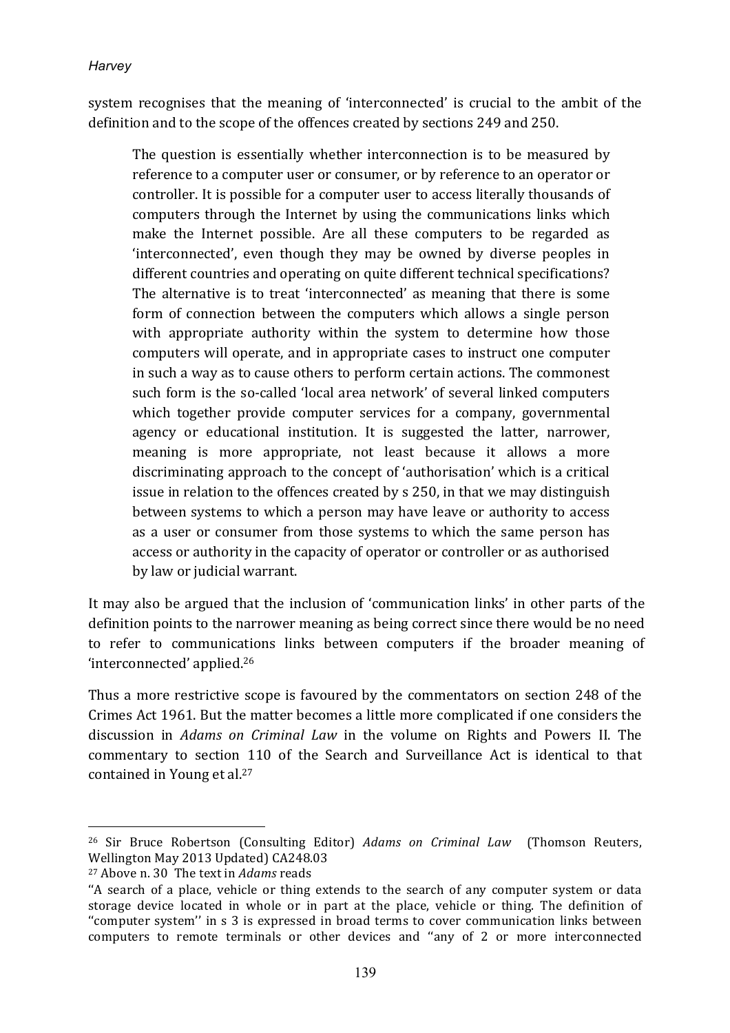system recognises that the meaning of 'interconnected' is crucial to the ambit of the definition and to the scope of the offences created by sections 249 and 250.

The question is essentially whether interconnection is to be measured by reference to a computer user or consumer, or by reference to an operator or controller. It is possible for a computer user to access literally thousands of computers through the Internet by using the communications links which make the Internet possible. Are all these computers to be regarded as 'interconnected', even though they may be owned by diverse peoples in different countries and operating on quite different technical specifications? The alternative is to treat 'interconnected' as meaning that there is some form of connection between the computers which allows a single person with appropriate authority within the system to determine how those computers will operate, and in appropriate cases to instruct one computer in such a way as to cause others to perform certain actions. The commonest such form is the so-called 'local area network' of several linked computers which together provide computer services for a company, governmental agency or educational institution. It is suggested the latter, narrower, meaning is more appropriate, not least because it allows a more discriminating approach to the concept of 'authorisation' which is a critical issue in relation to the offences created by s 250, in that we may distinguish between systems to which a person may have leave or authority to access as a user or consumer from those systems to which the same person has access or authority in the capacity of operator or controller or as authorised by law or judicial warrant.

It may also be argued that the inclusion of 'communication links' in other parts of the definition points to the narrower meaning as being correct since there would be no need to refer to communications links between computers if the broader meaning of 'interconnected' applied.26

Thus a more restrictive scope is favoured by the commentators on section 248 of the Crimes Act 1961. But the matter becomes a little more complicated if one considers the discussion in *Adams on Criminal Law* in the volume on Rights and Powers II. The commentary to section 110 of the Search and Surveillance Act is identical to that contained in Young et al.<sup>27</sup>

<sup>&</sup>lt;sup>26</sup> Sir Bruce Robertson (Consulting Editor) *Adams on Criminal Law* (Thomson Reuters, Wellington May 2013 Updated) CA248.03

<sup>&</sup>lt;sup>27</sup> Above n. 30 The text in *Adams* reads

<sup>&</sup>quot;A search of a place, vehicle or thing extends to the search of any computer system or data storage device located in whole or in part at the place, vehicle or thing. The definition of "computer system" in s 3 is expressed in broad terms to cover communication links between computers to remote terminals or other devices and "any of 2 or more interconnected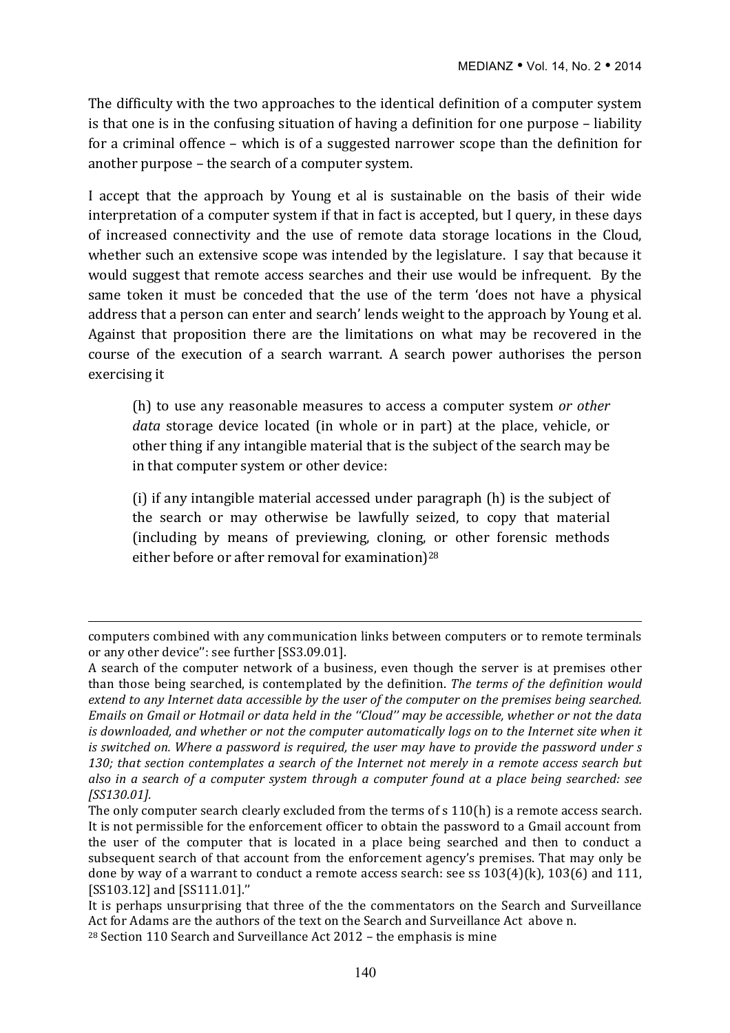The difficulty with the two approaches to the identical definition of a computer system is that one is in the confusing situation of having a definition for one purpose  $-$  liability for a criminal offence – which is of a suggested narrower scope than the definition for another purpose  $-$  the search of a computer system.

I accept that the approach by Young et al is sustainable on the basis of their wide interpretation of a computer system if that in fact is accepted, but I query, in these days of increased connectivity and the use of remote data storage locations in the Cloud, whether such an extensive scope was intended by the legislature. I say that because it would suggest that remote access searches and their use would be infrequent. By the same token it must be conceded that the use of the term 'does not have a physical address that a person can enter and search' lends weight to the approach by Young et al. Against that proposition there are the limitations on what may be recovered in the course of the execution of a search warrant. A search power authorises the person exercising it

(h) to use any reasonable measures to access a computer system or other *data* storage device located (in whole or in part) at the place, vehicle, or other thing if any intangible material that is the subject of the search may be in that computer system or other device:

(i) if any intangible material accessed under paragraph  $(h)$  is the subject of the search or may otherwise be lawfully seized, to copy that material (including by means of previewing, cloning, or other forensic methods either before or after removal for examination)<sup>28</sup>

computers combined with any communication links between computers or to remote terminals or any other device": see further [SS3.09.01].

A search of the computer network of a business, even though the server is at premises other than those being searched, is contemplated by the definition. *The terms of the definition would extend* to any Internet data accessible by the user of the computer on the premises being searched. *Emails* on Gmail or Hotmail or data held in the "Cloud" may be accessible, whether or not the data *is downloaded, and whether or not the computer automatically logs on to the Internet site when it is* switched on. Where a password is required, the user may have to provide the password under s 130; that section contemplates a search of the Internet not merely in a remote access search but *also in a search of a computer system through a computer found at a place being searched: see [SS130.01].*

The only computer search clearly excluded from the terms of  $s$  110(h) is a remote access search. It is not permissible for the enforcement officer to obtain the password to a Gmail account from the user of the computer that is located in a place being searched and then to conduct a subsequent search of that account from the enforcement agency's premises. That may only be done by way of a warrant to conduct a remote access search: see ss  $103(4)(k)$ ,  $103(6)$  and  $111$ , [SS103.12] and [SS111.01]."

It is perhaps unsurprising that three of the the commentators on the Search and Surveillance Act for Adams are the authors of the text on the Search and Surveillance Act above n.  $28$  Section 110 Search and Surveillance Act 2012 – the emphasis is mine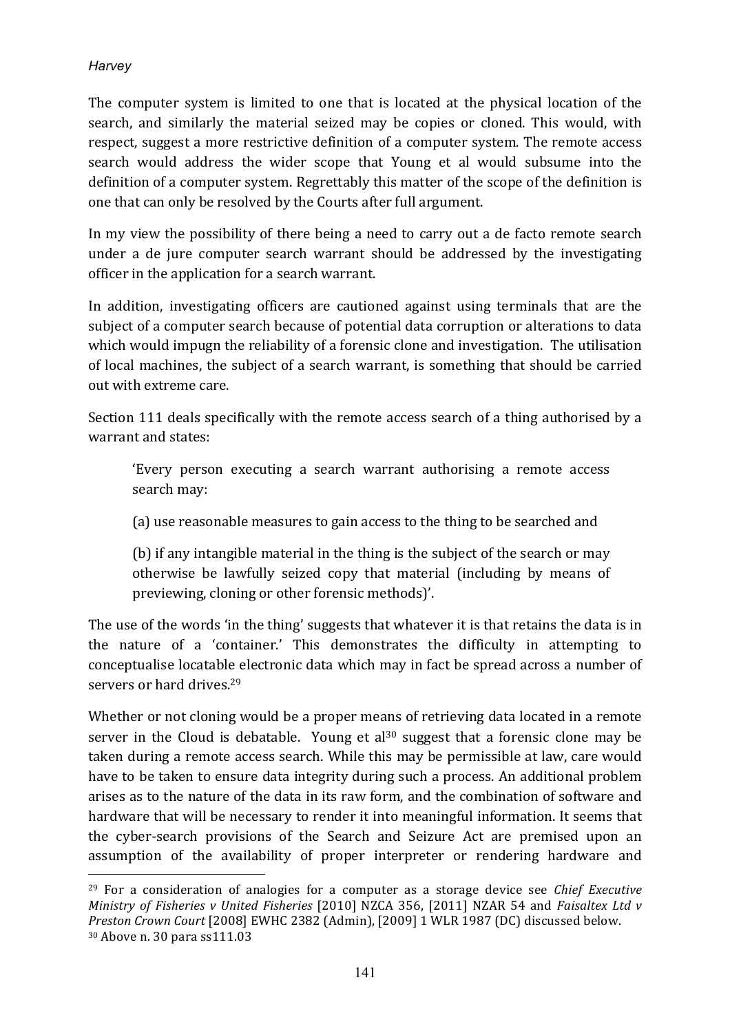$\overline{a}$ 

The computer system is limited to one that is located at the physical location of the search, and similarly the material seized may be copies or cloned. This would, with respect, suggest a more restrictive definition of a computer system. The remote access search would address the wider scope that Young et al would subsume into the definition of a computer system. Regrettably this matter of the scope of the definition is one that can only be resolved by the Courts after full argument.

In my view the possibility of there being a need to carry out a de facto remote search under a de jure computer search warrant should be addressed by the investigating officer in the application for a search warrant.

In addition, investigating officers are cautioned against using terminals that are the subject of a computer search because of potential data corruption or alterations to data which would impugn the reliability of a forensic clone and investigation. The utilisation of local machines, the subject of a search warrant, is something that should be carried out with extreme care.

Section 111 deals specifically with the remote access search of a thing authorised by a warrant and states:

'Every person executing a search warrant authorising a remote access search may:

(a) use reasonable measures to gain access to the thing to be searched and

(b) if any intangible material in the thing is the subject of the search or may otherwise be lawfully seized copy that material (including by means of previewing, cloning or other forensic methods)'.

The use of the words 'in the thing' suggests that whatever it is that retains the data is in the nature of a 'container.' This demonstrates the difficulty in attempting to conceptualise locatable electronic data which may in fact be spread across a number of servers or hard drives.<sup>29</sup>

Whether or not cloning would be a proper means of retrieving data located in a remote server in the Cloud is debatable. Young et al<sup>30</sup> suggest that a forensic clone may be taken during a remote access search. While this may be permissible at law, care would have to be taken to ensure data integrity during such a process. An additional problem arises as to the nature of the data in its raw form, and the combination of software and hardware that will be necessary to render it into meaningful information. It seems that the cyber-search provisions of the Search and Seizure Act are premised upon an assumption of the availability of proper interpreter or rendering hardware and

<sup>&</sup>lt;sup>29</sup> For a consideration of analogies for a computer as a storage device see *Chief Executive Ministry of Fisheries v United Fisheries* [2010] NZCA 356, [2011] NZAR 54 and *Faisaltex Ltd v Preston Crown Court* [2008] EWHC 2382 (Admin), [2009] 1 WLR 1987 (DC) discussed below. <sup>30</sup> Above n. 30 para ss111.03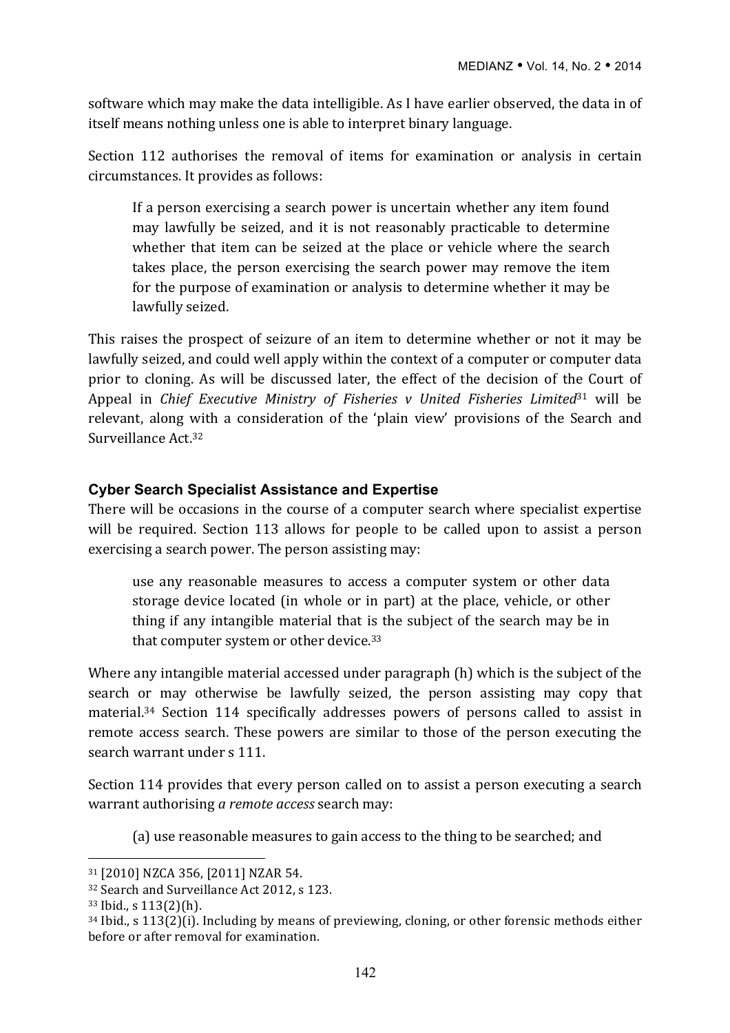software which may make the data intelligible. As I have earlier observed, the data in of itself means nothing unless one is able to interpret binary language.

Section 112 authorises the removal of items for examination or analysis in certain circumstances. It provides as follows:

If a person exercising a search power is uncertain whether any item found may lawfully be seized, and it is not reasonably practicable to determine whether that item can be seized at the place or vehicle where the search takes place, the person exercising the search power may remove the item for the purpose of examination or analysis to determine whether it may be lawfully seized.

This raises the prospect of seizure of an item to determine whether or not it may be lawfully seized, and could well apply within the context of a computer or computer data prior to cloning. As will be discussed later, the effect of the decision of the Court of Appeal in *Chief Executive Ministry of Fisheries v United Fisheries Limited*<sup>31</sup> will be relevant, along with a consideration of the 'plain view' provisions of the Search and Surveillance Act.32

#### **Cyber Search Specialist Assistance and Expertise**

There will be occasions in the course of a computer search where specialist expertise will be required. Section 113 allows for people to be called upon to assist a person exercising a search power. The person assisting may:

use any reasonable measures to access a computer system or other data storage device located (in whole or in part) at the place, vehicle, or other thing if any intangible material that is the subject of the search may be in that computer system or other device.<sup>33</sup>

Where any intangible material accessed under paragraph (h) which is the subject of the search or may otherwise be lawfully seized, the person assisting may copy that material.<sup>34</sup> Section 114 specifically addresses powers of persons called to assist in remote access search. These powers are similar to those of the person executing the search warrant under s 111.

Section 114 provides that every person called on to assist a person executing a search warrant authorising *a remote access* search may:

(a) use reasonable measures to gain access to the thing to be searched; and

<sup>31 [2010]</sup> NZCA 356, [2011] NZAR 54.

<sup>&</sup>lt;sup>32</sup> Search and Surveillance Act 2012, s 123.

 $33$  Ibid., s  $113(2)$ (h).

 $34$  Ibid., s  $113(2)(i)$ . Including by means of previewing, cloning, or other forensic methods either before or after removal for examination.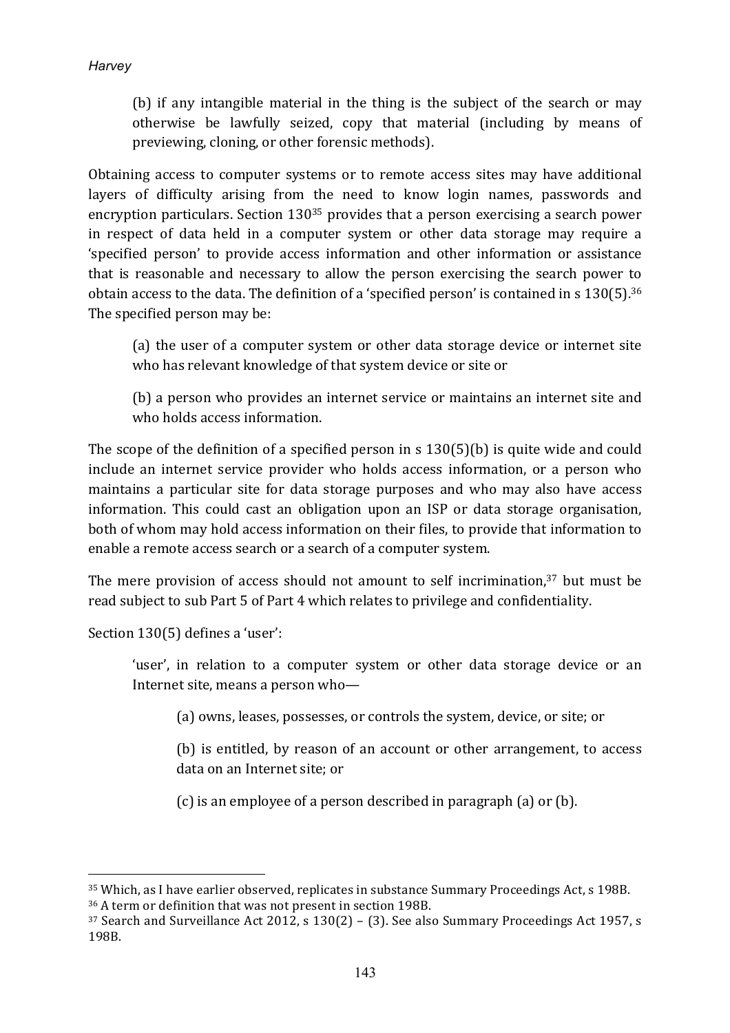(b) if any intangible material in the thing is the subject of the search or may otherwise be lawfully seized, copy that material (including by means of previewing, cloning, or other forensic methods).

Obtaining access to computer systems or to remote access sites may have additional layers of difficulty arising from the need to know login names, passwords and encryption particulars. Section  $130^{35}$  provides that a person exercising a search power in respect of data held in a computer system or other data storage may require a 'specified person' to provide access information and other information or assistance that is reasonable and necessary to allow the person exercising the search power to obtain access to the data. The definition of a 'specified person' is contained in s  $130(5)$ .<sup>36</sup> The specified person may be:

(a) the user of a computer system or other data storage device or internet site who has relevant knowledge of that system device or site or

(b) a person who provides an internet service or maintains an internet site and who holds access information.

The scope of the definition of a specified person in s  $130(5)$ (b) is quite wide and could include an internet service provider who holds access information, or a person who maintains a particular site for data storage purposes and who may also have access information. This could cast an obligation upon an ISP or data storage organisation, both of whom may hold access information on their files, to provide that information to enable a remote access search or a search of a computer system.

The mere provision of access should not amount to self incrimination, $37$  but must be read subject to sub Part 5 of Part 4 which relates to privilege and confidentiality.

Section 130(5) defines a 'user':

 $\overline{a}$ 

'user', in relation to a computer system or other data storage device or an Internet site, means a person who-

(a) owns, leases, possesses, or controls the system, device, or site; or

(b) is entitled, by reason of an account or other arrangement, to access data on an Internet site; or

 $(c)$  is an employee of a person described in paragraph  $(a)$  or  $(b)$ .

<sup>35</sup> Which, as I have earlier observed, replicates in substance Summary Proceedings Act, s 198B. 36 A term or definition that was not present in section 198B.

 $37$  Search and Surveillance Act 2012, s 130(2) – (3). See also Summary Proceedings Act 1957, s 198B.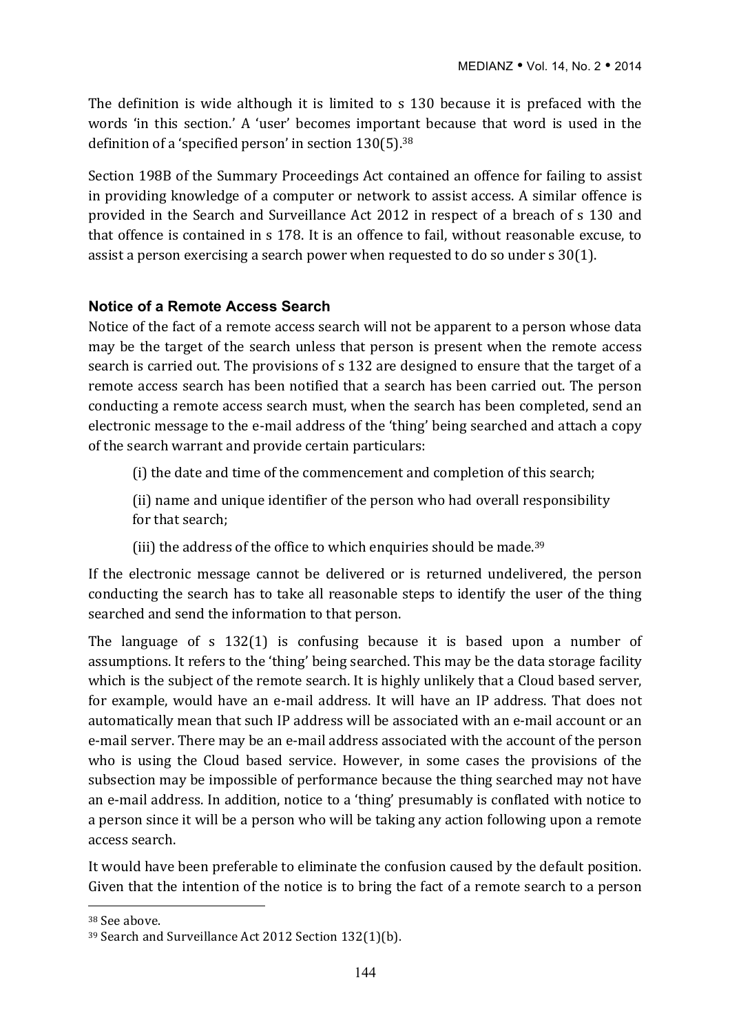The definition is wide although it is limited to s 130 because it is prefaced with the words 'in this section.' A 'user' becomes important because that word is used in the definition of a 'specified person' in section  $130(5)$ .<sup>38</sup>

Section 198B of the Summary Proceedings Act contained an offence for failing to assist in providing knowledge of a computer or network to assist access. A similar offence is provided in the Search and Surveillance Act 2012 in respect of a breach of s 130 and that offence is contained in s 178. It is an offence to fail, without reasonable excuse, to assist a person exercising a search power when requested to do so under  $s$  30(1).

## **Notice of a Remote Access Search**

Notice of the fact of a remote access search will not be apparent to a person whose data may be the target of the search unless that person is present when the remote access search is carried out. The provisions of s 132 are designed to ensure that the target of a remote access search has been notified that a search has been carried out. The person conducting a remote access search must, when the search has been completed, send an electronic message to the e-mail address of the 'thing' being searched and attach a copy of the search warrant and provide certain particulars:

(i) the date and time of the commencement and completion of this search;

(ii) name and unique identifier of the person who had overall responsibility for that search:

(iii) the address of the office to which enquiries should be made.<sup>39</sup>

If the electronic message cannot be delivered or is returned undelivered, the person conducting the search has to take all reasonable steps to identify the user of the thing searched and send the information to that person.

The language of s  $132(1)$  is confusing because it is based upon a number of assumptions. It refers to the 'thing' being searched. This may be the data storage facility which is the subject of the remote search. It is highly unlikely that a Cloud based server, for example, would have an e-mail address. It will have an IP address. That does not automatically mean that such IP address will be associated with an e-mail account or an e-mail server. There may be an e-mail address associated with the account of the person who is using the Cloud based service. However, in some cases the provisions of the subsection may be impossible of performance because the thing searched may not have an e-mail address. In addition, notice to a 'thing' presumably is conflated with notice to a person since it will be a person who will be taking any action following upon a remote access search.

It would have been preferable to eliminate the confusion caused by the default position. Given that the intention of the notice is to bring the fact of a remote search to a person

<sup>&</sup>lt;sup>38</sup> See above.

<sup>&</sup>lt;sup>39</sup> Search and Surveillance Act 2012 Section 132(1)(b).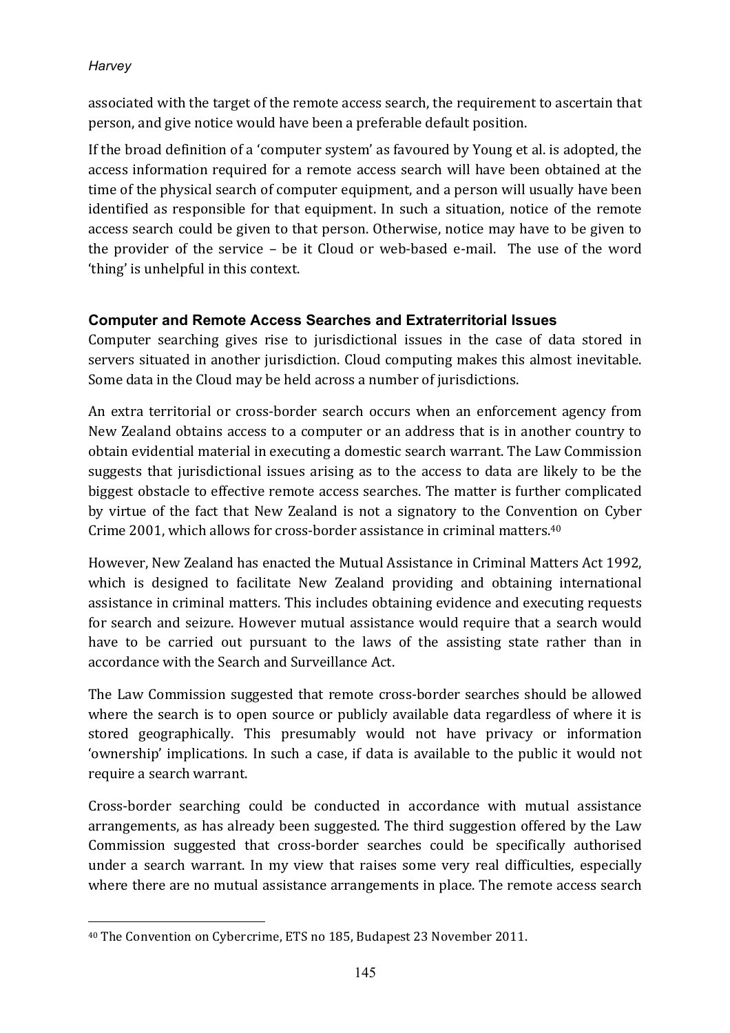associated with the target of the remote access search, the requirement to ascertain that person, and give notice would have been a preferable default position.

If the broad definition of a 'computer system' as favoured by Young et al. is adopted, the access information required for a remote access search will have been obtained at the time of the physical search of computer equipment, and a person will usually have been identified as responsible for that equipment. In such a situation, notice of the remote access search could be given to that person. Otherwise, notice may have to be given to the provider of the service  $-$  be it Cloud or web-based e-mail. The use of the word 'thing' is unhelpful in this context.

## **Computer and Remote Access Searches and Extraterritorial Issues**

Computer searching gives rise to jurisdictional issues in the case of data stored in servers situated in another jurisdiction. Cloud computing makes this almost inevitable. Some data in the Cloud may be held across a number of jurisdictions.

An extra territorial or cross-border search occurs when an enforcement agency from New Zealand obtains access to a computer or an address that is in another country to obtain evidential material in executing a domestic search warrant. The Law Commission suggests that jurisdictional issues arising as to the access to data are likely to be the biggest obstacle to effective remote access searches. The matter is further complicated by virtue of the fact that New Zealand is not a signatory to the Convention on Cyber Crime 2001, which allows for cross-border assistance in criminal matters. $40$ 

However, New Zealand has enacted the Mutual Assistance in Criminal Matters Act 1992, which is designed to facilitate New Zealand providing and obtaining international assistance in criminal matters. This includes obtaining evidence and executing requests for search and seizure. However mutual assistance would require that a search would have to be carried out pursuant to the laws of the assisting state rather than in accordance with the Search and Surveillance Act.

The Law Commission suggested that remote cross-border searches should be allowed where the search is to open source or publicly available data regardless of where it is stored geographically. This presumably would not have privacy or information 'ownership' implications. In such a case, if data is available to the public it would not require a search warrant.

Cross-border searching could be conducted in accordance with mutual assistance arrangements, as has already been suggested. The third suggestion offered by the Law Commission suggested that cross-border searches could be specifically authorised under a search warrant. In my view that raises some very real difficulties, especially where there are no mutual assistance arrangements in place. The remote access search

 $\overline{a}$ <sup>40</sup> The Convention on Cybercrime, ETS no 185, Budapest 23 November 2011.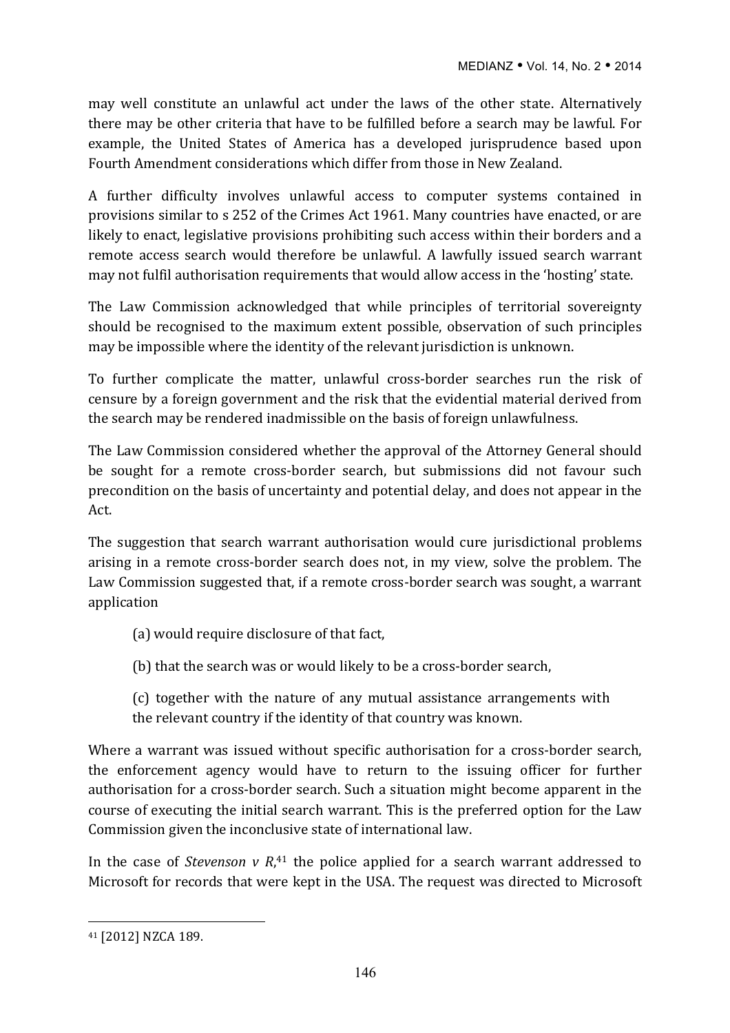may well constitute an unlawful act under the laws of the other state. Alternatively there may be other criteria that have to be fulfilled before a search may be lawful. For example, the United States of America has a developed jurisprudence based upon Fourth Amendment considerations which differ from those in New Zealand.

A further difficulty involves unlawful access to computer systems contained in provisions similar to s 252 of the Crimes Act 1961. Many countries have enacted, or are likely to enact, legislative provisions prohibiting such access within their borders and a remote access search would therefore be unlawful. A lawfully issued search warrant may not fulfil authorisation requirements that would allow access in the 'hosting' state.

The Law Commission acknowledged that while principles of territorial sovereignty should be recognised to the maximum extent possible, observation of such principles may be impossible where the identity of the relevant jurisdiction is unknown.

To further complicate the matter, unlawful cross-border searches run the risk of censure by a foreign government and the risk that the evidential material derived from the search may be rendered inadmissible on the basis of foreign unlawfulness.

The Law Commission considered whether the approval of the Attorney General should be sought for a remote cross-border search, but submissions did not favour such precondition on the basis of uncertainty and potential delay, and does not appear in the Act.

The suggestion that search warrant authorisation would cure jurisdictional problems arising in a remote cross-border search does not, in my view, solve the problem. The Law Commission suggested that, if a remote cross-border search was sought, a warrant application

- (a) would require disclosure of that fact,
- (b) that the search was or would likely to be a cross-border search,

(c) together with the nature of any mutual assistance arrangements with the relevant country if the identity of that country was known.

Where a warrant was issued without specific authorisation for a cross-border search, the enforcement agency would have to return to the issuing officer for further authorisation for a cross-border search. Such a situation might become apparent in the course of executing the initial search warrant. This is the preferred option for the Law Commission given the inconclusive state of international law.

In the case of *Stevenson*  $v$   $R$ ,<sup>41</sup> the police applied for a search warrant addressed to Microsoft for records that were kept in the USA. The request was directed to Microsoft

<sup>41 [2012]</sup> NZCA 189.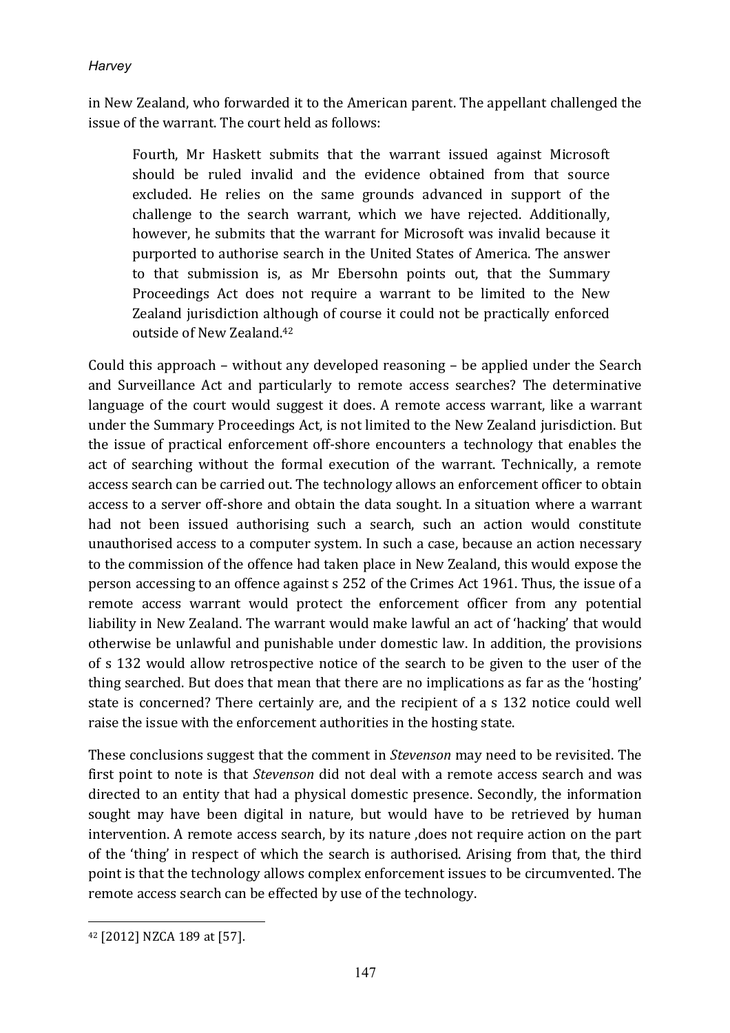in New Zealand, who forwarded it to the American parent. The appellant challenged the issue of the warrant. The court held as follows:

Fourth, Mr Haskett submits that the warrant issued against Microsoft should be ruled invalid and the evidence obtained from that source excluded. He relies on the same grounds advanced in support of the challenge to the search warrant, which we have rejected. Additionally, however, he submits that the warrant for Microsoft was invalid because it purported to authorise search in the United States of America. The answer to that submission is, as Mr Ebersohn points out, that the Summary Proceedings Act does not require a warrant to be limited to the New Zealand jurisdiction although of course it could not be practically enforced outside of New Zealand.<sup>42</sup>

Could this approach – without any developed reasoning – be applied under the Search and Surveillance Act and particularly to remote access searches? The determinative language of the court would suggest it does. A remote access warrant, like a warrant under the Summary Proceedings Act, is not limited to the New Zealand jurisdiction. But the issue of practical enforcement off-shore encounters a technology that enables the act of searching without the formal execution of the warrant. Technically, a remote access search can be carried out. The technology allows an enforcement officer to obtain access to a server off-shore and obtain the data sought. In a situation where a warrant had not been issued authorising such a search, such an action would constitute unauthorised access to a computer system. In such a case, because an action necessary to the commission of the offence had taken place in New Zealand, this would expose the person accessing to an offence against s 252 of the Crimes Act 1961. Thus, the issue of a remote access warrant would protect the enforcement officer from any potential liability in New Zealand. The warrant would make lawful an act of 'hacking' that would otherwise be unlawful and punishable under domestic law. In addition, the provisions of s 132 would allow retrospective notice of the search to be given to the user of the thing searched. But does that mean that there are no implications as far as the 'hosting' state is concerned? There certainly are, and the recipient of a s 132 notice could well raise the issue with the enforcement authorities in the hosting state.

These conclusions suggest that the comment in *Stevenson* may need to be revisited. The first point to note is that *Stevenson* did not deal with a remote access search and was directed to an entity that had a physical domestic presence. Secondly, the information sought may have been digital in nature, but would have to be retrieved by human intervention. A remote access search, by its nature ,does not require action on the part of the 'thing' in respect of which the search is authorised. Arising from that, the third point is that the technology allows complex enforcement issues to be circumvented. The remote access search can be effected by use of the technology.

 $\overline{a}$ 42 [2012] NZCA 189 at [57].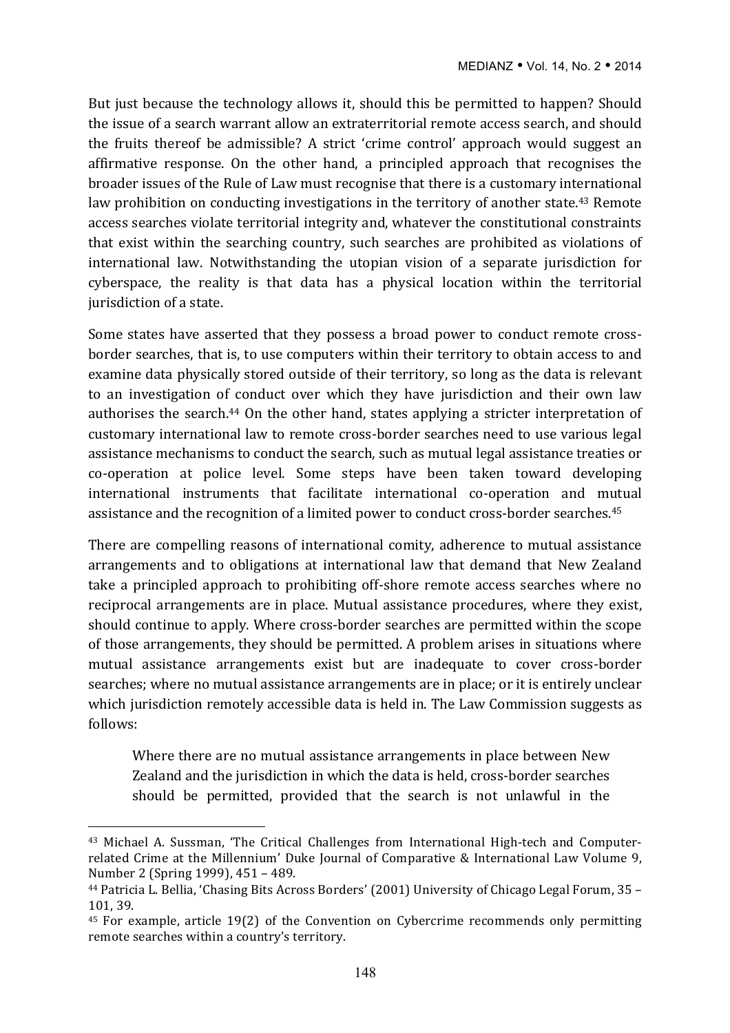But just because the technology allows it, should this be permitted to happen? Should the issue of a search warrant allow an extraterritorial remote access search, and should the fruits thereof be admissible? A strict 'crime control' approach would suggest an affirmative response. On the other hand, a principled approach that recognises the broader issues of the Rule of Law must recognise that there is a customary international law prohibition on conducting investigations in the territory of another state.<sup>43</sup> Remote access searches violate territorial integrity and, whatever the constitutional constraints that exist within the searching country, such searches are prohibited as violations of international law. Notwithstanding the utopian vision of a separate jurisdiction for cyberspace, the reality is that data has a physical location within the territorial jurisdiction of a state.

Some states have asserted that they possess a broad power to conduct remote crossborder searches, that is, to use computers within their territory to obtain access to and examine data physically stored outside of their territory, so long as the data is relevant to an investigation of conduct over which they have jurisdiction and their own law authorises the search.<sup>44</sup> On the other hand, states applying a stricter interpretation of customary international law to remote cross-border searches need to use various legal assistance mechanisms to conduct the search, such as mutual legal assistance treaties or co-operation at police level. Some steps have been taken toward developing international instruments that facilitate international co-operation and mutual assistance and the recognition of a limited power to conduct cross-border searches.<sup>45</sup>

There are compelling reasons of international comity, adherence to mutual assistance arrangements and to obligations at international law that demand that New Zealand take a principled approach to prohibiting off-shore remote access searches where no reciprocal arrangements are in place. Mutual assistance procedures, where they exist, should continue to apply. Where cross-border searches are permitted within the scope of those arrangements, they should be permitted. A problem arises in situations where mutual assistance arrangements exist but are inadequate to cover cross-border searches; where no mutual assistance arrangements are in place; or it is entirely unclear which jurisdiction remotely accessible data is held in. The Law Commission suggests as follows:

Where there are no mutual assistance arrangements in place between New Zealand and the jurisdiction in which the data is held, cross-border searches should be permitted, provided that the search is not unlawful in the

<sup>&</sup>lt;sup>43</sup> Michael A. Sussman, 'The Critical Challenges from International High-tech and Computerrelated Crime at the Millennium' Duke Journal of Comparative & International Law Volume 9, Number 2 (Spring 1999), 451 – 489.

<sup>&</sup>lt;sup>44</sup> Patricia L. Bellia, 'Chasing Bits Across Borders' (2001) University of Chicago Legal Forum, 35 -101, 39.

<sup>&</sup>lt;sup>45</sup> For example, article 19(2) of the Convention on Cybercrime recommends only permitting remote searches within a country's territory.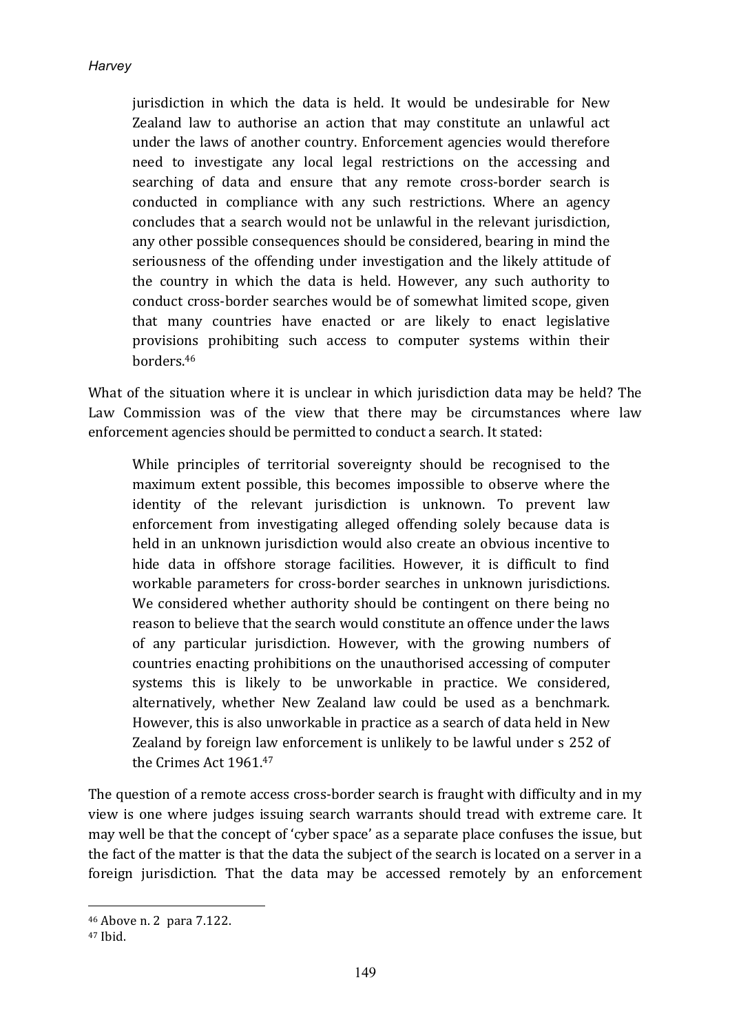jurisdiction in which the data is held. It would be undesirable for New Zealand law to authorise an action that may constitute an unlawful act under the laws of another country. Enforcement agencies would therefore need to investigate any local legal restrictions on the accessing and searching of data and ensure that any remote cross-border search is conducted in compliance with any such restrictions. Where an agency concludes that a search would not be unlawful in the relevant jurisdiction, any other possible consequences should be considered, bearing in mind the seriousness of the offending under investigation and the likely attitude of the country in which the data is held. However, any such authority to conduct cross-border searches would be of somewhat limited scope, given that many countries have enacted or are likely to enact legislative provisions prohibiting such access to computer systems within their borders.46

What of the situation where it is unclear in which jurisdiction data may be held? The Law Commission was of the view that there may be circumstances where law enforcement agencies should be permitted to conduct a search. It stated:

While principles of territorial sovereignty should be recognised to the maximum extent possible, this becomes impossible to observe where the identity of the relevant jurisdiction is unknown. To prevent law enforcement from investigating alleged offending solely because data is held in an unknown jurisdiction would also create an obvious incentive to hide data in offshore storage facilities. However, it is difficult to find workable parameters for cross-border searches in unknown jurisdictions. We considered whether authority should be contingent on there being no reason to believe that the search would constitute an offence under the laws of any particular jurisdiction. However, with the growing numbers of countries enacting prohibitions on the unauthorised accessing of computer systems this is likely to be unworkable in practice. We considered, alternatively, whether New Zealand law could be used as a benchmark. However, this is also unworkable in practice as a search of data held in New Zealand by foreign law enforcement is unlikely to be lawful under s 252 of the Crimes Act 1961.47

The question of a remote access cross-border search is fraught with difficulty and in my view is one where judges issuing search warrants should tread with extreme care. It may well be that the concept of 'cyber space' as a separate place confuses the issue, but the fact of the matter is that the data the subject of the search is located on a server in a foreign jurisdiction. That the data may be accessed remotely by an enforcement

<sup>46</sup> Above n. 2para 7.122.

<sup>47</sup> Ibid.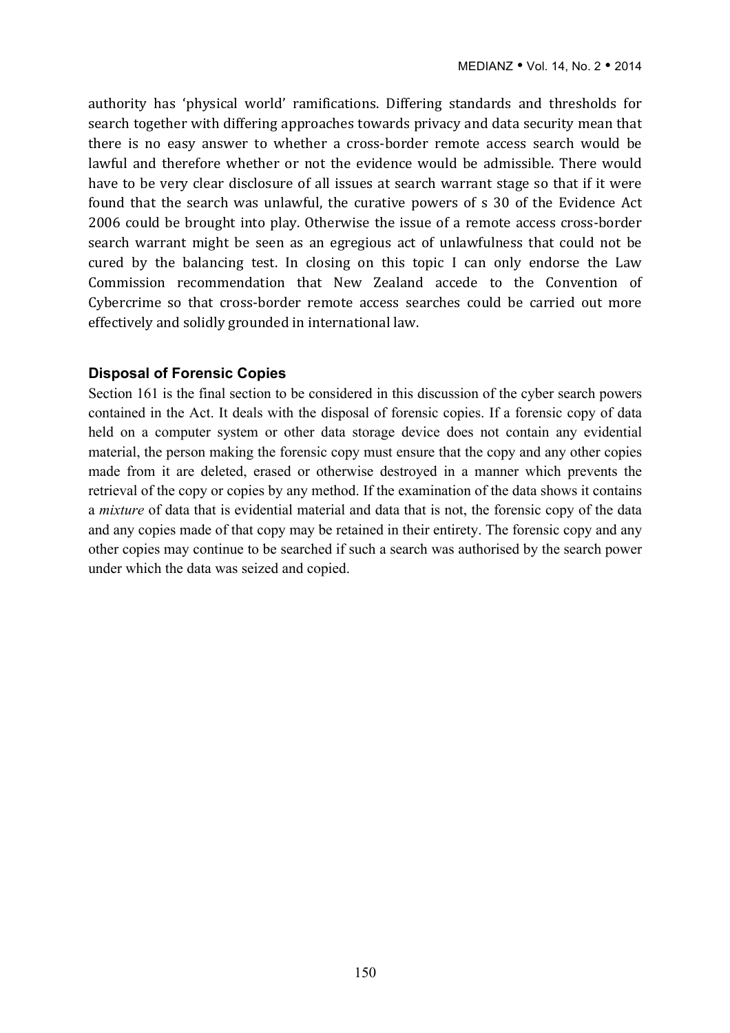authority has 'physical world' ramifications. Differing standards and thresholds for search together with differing approaches towards privacy and data security mean that there is no easy answer to whether a cross-border remote access search would be lawful and therefore whether or not the evidence would be admissible. There would have to be very clear disclosure of all issues at search warrant stage so that if it were found that the search was unlawful, the curative powers of s 30 of the Evidence Act 2006 could be brought into play. Otherwise the issue of a remote access cross-border search warrant might be seen as an egregious act of unlawfulness that could not be cured by the balancing test. In closing on this topic I can only endorse the Law Commission recommendation that New Zealand accede to the Convention of Cybercrime so that cross-border remote access searches could be carried out more effectively and solidly grounded in international law.

#### **Disposal of Forensic Copies**

Section 161 is the final section to be considered in this discussion of the cyber search powers contained in the Act. It deals with the disposal of forensic copies. If a forensic copy of data held on a computer system or other data storage device does not contain any evidential material, the person making the forensic copy must ensure that the copy and any other copies made from it are deleted, erased or otherwise destroyed in a manner which prevents the retrieval of the copy or copies by any method. If the examination of the data shows it contains a *mixture* of data that is evidential material and data that is not, the forensic copy of the data and any copies made of that copy may be retained in their entirety. The forensic copy and any other copies may continue to be searched if such a search was authorised by the search power under which the data was seized and copied.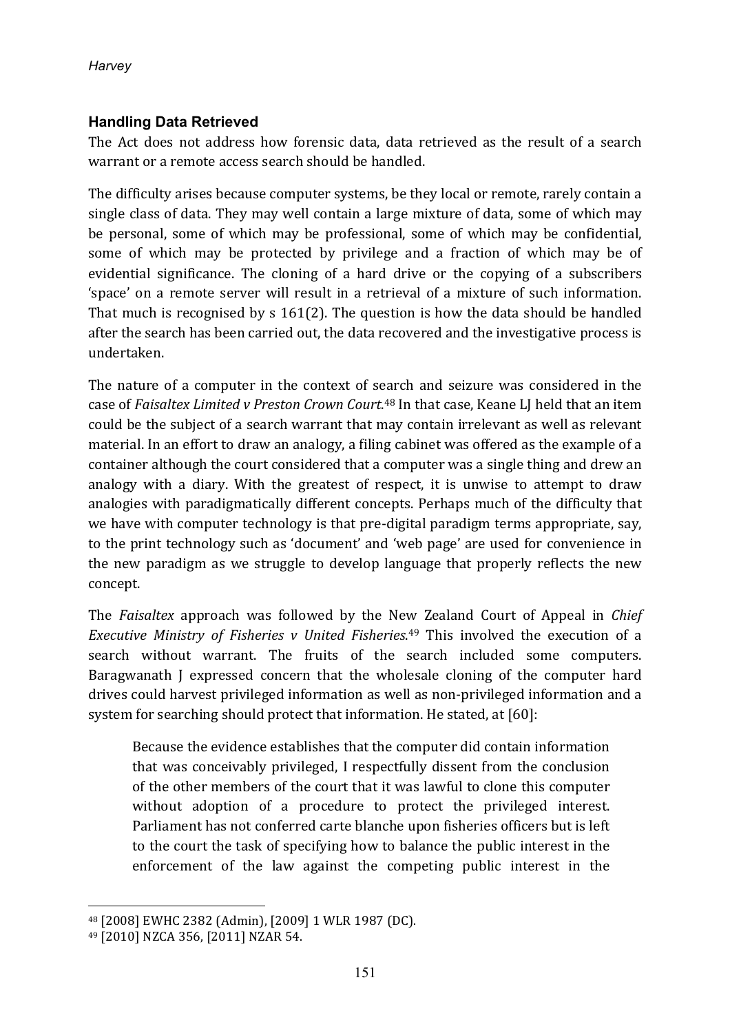## **Handling Data Retrieved**

The Act does not address how forensic data, data retrieved as the result of a search warrant or a remote access search should be handled.

The difficulty arises because computer systems, be they local or remote, rarely contain a single class of data. They may well contain a large mixture of data, some of which may be personal, some of which may be professional, some of which may be confidential, some of which may be protected by privilege and a fraction of which may be of evidential significance. The cloning of a hard drive or the copying of a subscribers 'space' on a remote server will result in a retrieval of a mixture of such information. That much is recognised by  $s$  161(2). The question is how the data should be handled after the search has been carried out, the data recovered and the investigative process is undertaken.

The nature of a computer in the context of search and seizure was considered in the case of *Faisaltex Limited v Preston Crown Court*.<sup>48</sup> In that case, Keane LJ held that an item could be the subject of a search warrant that may contain irrelevant as well as relevant material. In an effort to draw an analogy, a filing cabinet was offered as the example of a container although the court considered that a computer was a single thing and drew an analogy with a diary. With the greatest of respect, it is unwise to attempt to draw analogies with paradigmatically different concepts. Perhaps much of the difficulty that we have with computer technology is that pre-digital paradigm terms appropriate, say, to the print technology such as 'document' and 'web page' are used for convenience in the new paradigm as we struggle to develop language that properly reflects the new concept.

The *Faisaltex* approach was followed by the New Zealand Court of Appeal in *Chief Executive Ministry of Fisheries v United Fisheries.*<sup>49</sup> This involved the execution of a search without warrant. The fruits of the search included some computers. Baragwanath J expressed concern that the wholesale cloning of the computer hard drives could harvest privileged information as well as non-privileged information and a system for searching should protect that information. He stated, at [60]:

Because the evidence establishes that the computer did contain information that was conceivably privileged, I respectfully dissent from the conclusion of the other members of the court that it was lawful to clone this computer without adoption of a procedure to protect the privileged interest. Parliament has not conferred carte blanche upon fisheries officers but is left to the court the task of specifying how to balance the public interest in the enforcement of the law against the competing public interest in the

<sup>48 [2008]</sup> EWHC 2382 (Admin), [2009] 1 WLR 1987 (DC).

<sup>49 [2010]</sup> NZCA 356, [2011] NZAR 54.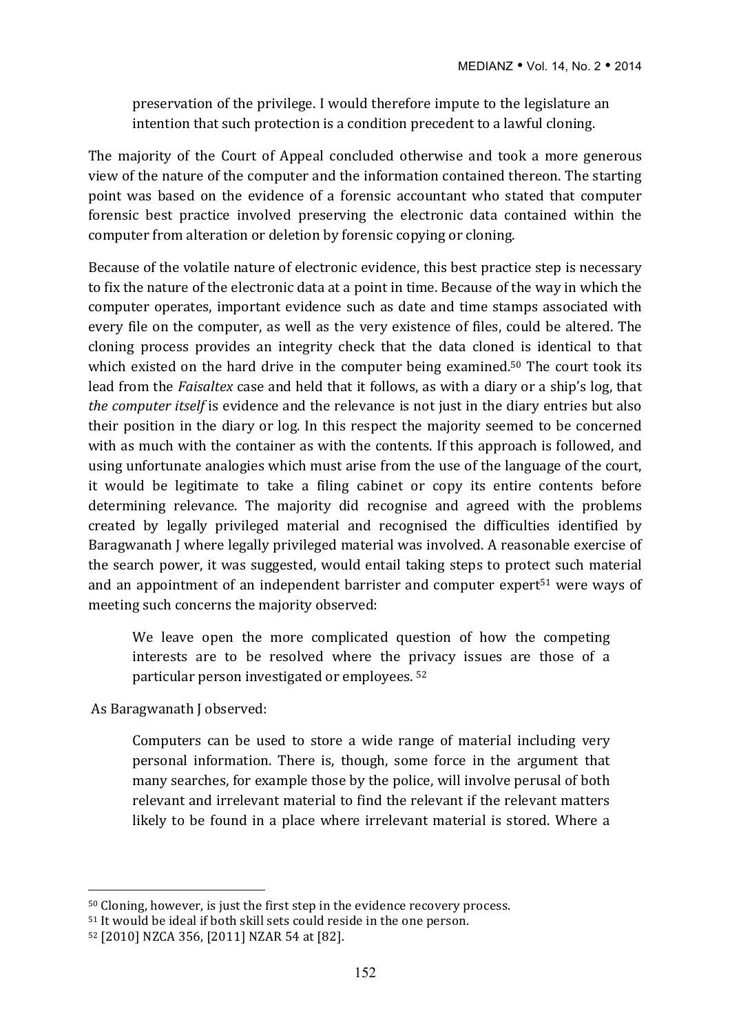preservation of the privilege. I would therefore impute to the legislature an intention that such protection is a condition precedent to a lawful cloning.

The majority of the Court of Appeal concluded otherwise and took a more generous view of the nature of the computer and the information contained thereon. The starting point was based on the evidence of a forensic accountant who stated that computer forensic best practice involved preserving the electronic data contained within the computer from alteration or deletion by forensic copying or cloning.

Because of the volatile nature of electronic evidence, this best practice step is necessary to fix the nature of the electronic data at a point in time. Because of the way in which the computer operates, important evidence such as date and time stamps associated with every file on the computer, as well as the very existence of files, could be altered. The cloning process provides an integrity check that the data cloned is identical to that which existed on the hard drive in the computer being examined.<sup>50</sup> The court took its lead from the *Faisaltex* case and held that it follows, as with a diary or a ship's log, that *the computer itself* is evidence and the relevance is not just in the diary entries but also their position in the diary or log. In this respect the majority seemed to be concerned with as much with the container as with the contents. If this approach is followed, and using unfortunate analogies which must arise from the use of the language of the court, it would be legitimate to take a filing cabinet or copy its entire contents before determining relevance. The majority did recognise and agreed with the problems created by legally privileged material and recognised the difficulties identified by Baragwanath I where legally privileged material was involved. A reasonable exercise of the search power, it was suggested, would entail taking steps to protect such material and an appointment of an independent barrister and computer expert<sup>51</sup> were ways of meeting such concerns the majority observed:

We leave open the more complicated question of how the competing interests are to be resolved where the privacy issues are those of a particular person investigated or employees. <sup>52</sup>

As Baragwanath J observed:

 $\overline{a}$ 

Computers can be used to store a wide range of material including very personal information. There is, though, some force in the argument that many searches, for example those by the police, will involve perusal of both relevant and irrelevant material to find the relevant if the relevant matters likely to be found in a place where irrelevant material is stored. Where a

 $50$  Cloning, however, is just the first step in the evidence recovery process.

<sup>&</sup>lt;sup>51</sup> It would be ideal if both skill sets could reside in the one person.

<sup>52 [2010]</sup> NZCA 356, [2011] NZAR 54 at [82].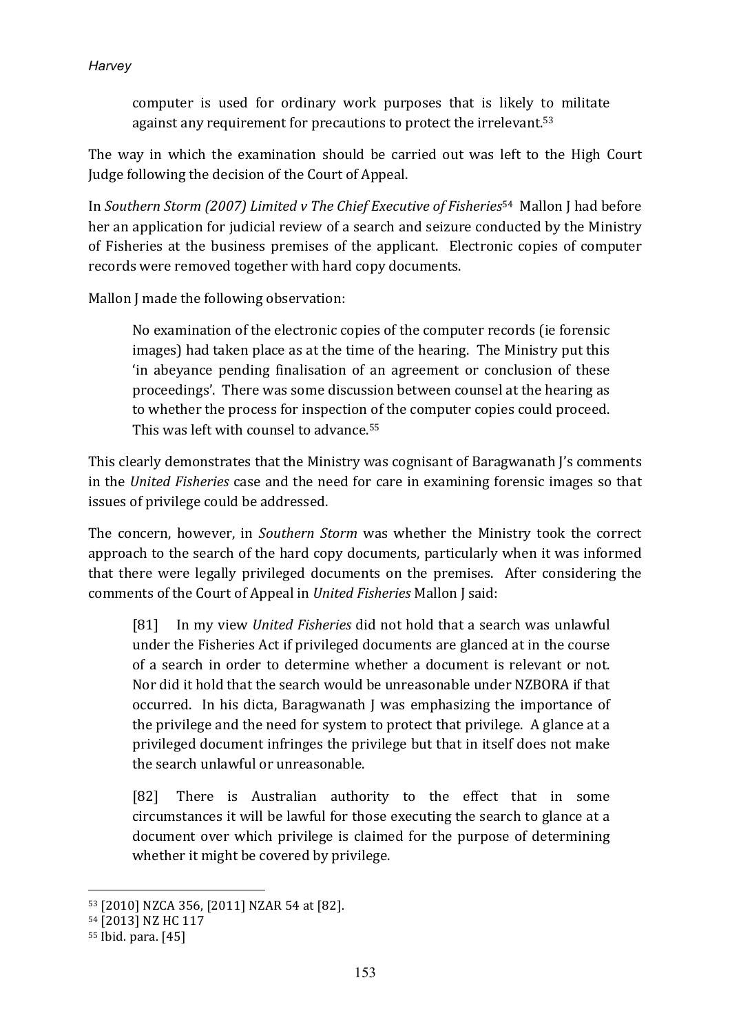computer is used for ordinary work purposes that is likely to militate against any requirement for precautions to protect the irrelevant.<sup>53</sup>

The way in which the examination should be carried out was left to the High Court Judge following the decision of the Court of Appeal.

In *Southern Storm (2007)* Limited v The Chief Executive of Fisheries<sup>54</sup> Mallon J had before her an application for judicial review of a search and seizure conducted by the Ministry of Fisheries at the business premises of the applicant. Electronic copies of computer records were removed together with hard copy documents.

Mallon J made the following observation:

No examination of the electronic copies of the computer records (ie forensic images) had taken place as at the time of the hearing. The Ministry put this 'in abeyance pending finalisation of an agreement or conclusion of these proceedings'. There was some discussion between counsel at the hearing as to whether the process for inspection of the computer copies could proceed. This was left with counsel to advance.<sup>55</sup>

This clearly demonstrates that the Ministry was cognisant of Baragwanath J's comments in the *United Fisheries* case and the need for care in examining forensic images so that issues of privilege could be addressed.

The concern, however, in *Southern Storm* was whether the Ministry took the correct approach to the search of the hard copy documents, particularly when it was informed that there were legally privileged documents on the premises. After considering the comments of the Court of Appeal in *United Fisheries* Mallon J said:

[81] In my view *United Fisheries* did not hold that a search was unlawful under the Fisheries Act if privileged documents are glanced at in the course of a search in order to determine whether a document is relevant or not. Nor did it hold that the search would be unreasonable under NZBORA if that occurred. In his dicta, Baragwanath I was emphasizing the importance of the privilege and the need for system to protect that privilege. A glance at a privileged document infringes the privilege but that in itself does not make the search unlawful or unreasonable.

[82] There is Australian authority to the effect that in some circumstances it will be lawful for those executing the search to glance at a document over which privilege is claimed for the purpose of determining whether it might be covered by privilege.

<sup>53 [2010]</sup> NZCA 356, [2011] NZAR 54 at [82].

<sup>54 [2013]</sup> NZ HC 117

<sup>55</sup> Ibid. para. [45]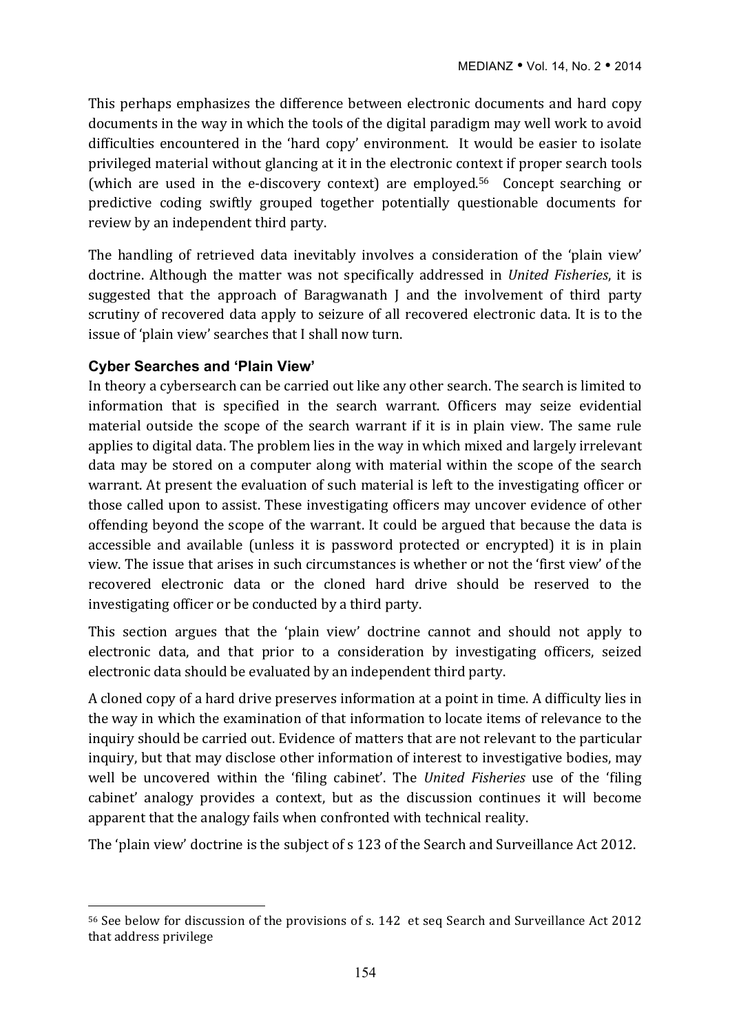This perhaps emphasizes the difference between electronic documents and hard copy documents in the way in which the tools of the digital paradigm may well work to avoid difficulties encountered in the 'hard copy' environment. It would be easier to isolate privileged material without glancing at it in the electronic context if proper search tools (which are used in the e-discovery context) are employed.<sup>56</sup> Concept searching or predictive coding swiftly grouped together potentially questionable documents for review by an independent third party.

The handling of retrieved data inevitably involves a consideration of the 'plain view' doctrine. Although the matter was not specifically addressed in *United Fisheries*, it is suggested that the approach of Baragwanath I and the involvement of third party scrutiny of recovered data apply to seizure of all recovered electronic data. It is to the issue of 'plain view' searches that I shall now turn.

## **Cyber Searches and 'Plain View'**

 $\overline{a}$ 

In theory a cybersearch can be carried out like any other search. The search is limited to information that is specified in the search warrant. Officers may seize evidential material outside the scope of the search warrant if it is in plain view. The same rule applies to digital data. The problem lies in the way in which mixed and largely irrelevant data may be stored on a computer along with material within the scope of the search warrant. At present the evaluation of such material is left to the investigating officer or those called upon to assist. These investigating officers may uncover evidence of other offending beyond the scope of the warrant. It could be argued that because the data is accessible and available (unless it is password protected or encrypted) it is in plain view. The issue that arises in such circumstances is whether or not the 'first view' of the recovered electronic data or the cloned hard drive should be reserved to the investigating officer or be conducted by a third party.

This section argues that the 'plain view' doctrine cannot and should not apply to electronic data, and that prior to a consideration by investigating officers, seized electronic data should be evaluated by an independent third party.

A cloned copy of a hard drive preserves information at a point in time. A difficulty lies in the way in which the examination of that information to locate items of relevance to the inquiry should be carried out. Evidence of matters that are not relevant to the particular inquiry, but that may disclose other information of interest to investigative bodies, may well be uncovered within the 'filing cabinet'. The *United Fisheries* use of the 'filing cabinet' analogy provides a context, but as the discussion continues it will become apparent that the analogy fails when confronted with technical reality.

The 'plain view' doctrine is the subject of s 123 of the Search and Surveillance Act 2012.

<sup>56</sup> See below for discussion of the provisions of s. 142 et seq Search and Surveillance Act 2012 that address privilege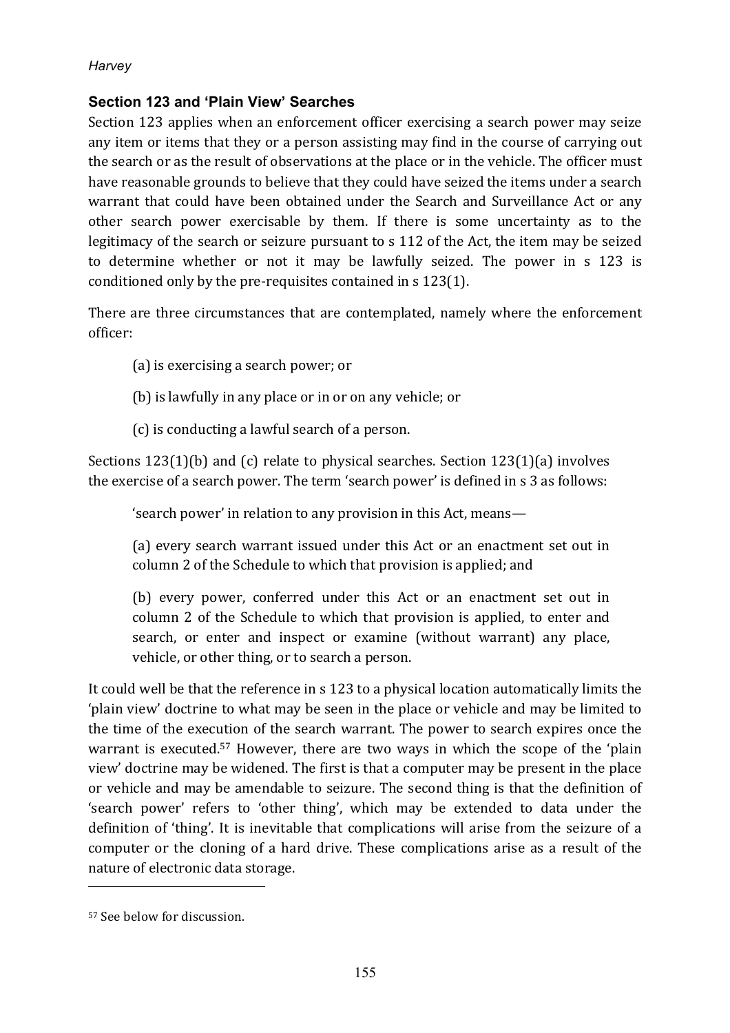## **Section 123 and 'Plain View' Searches**

Section 123 applies when an enforcement officer exercising a search power may seize any item or items that they or a person assisting may find in the course of carrying out the search or as the result of observations at the place or in the vehicle. The officer must have reasonable grounds to believe that they could have seized the items under a search warrant that could have been obtained under the Search and Surveillance Act or any other search power exercisable by them. If there is some uncertainty as to the legitimacy of the search or seizure pursuant to s 112 of the Act, the item may be seized to determine whether or not it may be lawfully seized. The power in s 123 is conditioned only by the pre-requisites contained in  $s$  123(1).

There are three circumstances that are contemplated, namely where the enforcement officer:

- (a) is exercising a search power; or
- (b) is lawfully in any place or in or on any vehicle; or
- (c) is conducting a lawful search of a person.

Sections  $123(1)(b)$  and (c) relate to physical searches. Section  $123(1)(a)$  involves the exercise of a search power. The term 'search power' is defined in s 3 as follows:

'search power' in relation to any provision in this Act, means—

(a) every search warrant issued under this Act or an enactment set out in column 2 of the Schedule to which that provision is applied; and

(b) every power, conferred under this Act or an enactment set out in column 2 of the Schedule to which that provision is applied, to enter and search, or enter and inspect or examine (without warrant) any place, vehicle, or other thing, or to search a person.

It could well be that the reference in s 123 to a physical location automatically limits the 'plain view' doctrine to what may be seen in the place or vehicle and may be limited to the time of the execution of the search warrant. The power to search expires once the warrant is executed.<sup>57</sup> However, there are two ways in which the scope of the 'plain view' doctrine may be widened. The first is that a computer may be present in the place or vehicle and may be amendable to seizure. The second thing is that the definition of 'search power' refers to 'other thing', which may be extended to data under the definition of 'thing'. It is inevitable that complications will arise from the seizure of a computer or the cloning of a hard drive. These complications arise as a result of the nature of electronic data storage.

<sup>&</sup>lt;sup>57</sup> See below for discussion.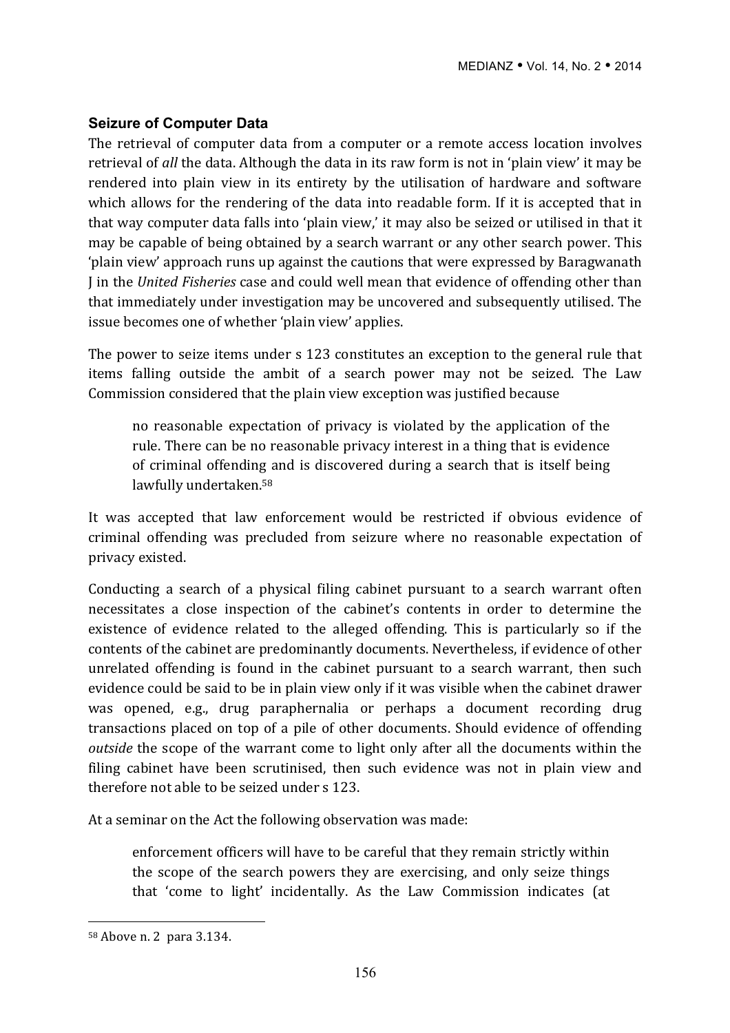## **Seizure of Computer Data**

The retrieval of computer data from a computer or a remote access location involves retrieval of *all* the data. Although the data in its raw form is not in 'plain view' it may be rendered into plain view in its entirety by the utilisation of hardware and software which allows for the rendering of the data into readable form. If it is accepted that in that way computer data falls into 'plain view,' it may also be seized or utilised in that it may be capable of being obtained by a search warrant or any other search power. This 'plain view' approach runs up against the cautions that were expressed by Baragwanath I in the *United Fisheries* case and could well mean that evidence of offending other than that immediately under investigation may be uncovered and subsequently utilised. The issue becomes one of whether 'plain view' applies.

The power to seize items under s 123 constitutes an exception to the general rule that items falling outside the ambit of a search power may not be seized. The Law Commission considered that the plain view exception was justified because

no reasonable expectation of privacy is violated by the application of the rule. There can be no reasonable privacy interest in a thing that is evidence of criminal offending and is discovered during a search that is itself being lawfully undertaken.<sup>58</sup>

It was accepted that law enforcement would be restricted if obvious evidence of criminal offending was precluded from seizure where no reasonable expectation of privacy existed.

Conducting a search of a physical filing cabinet pursuant to a search warrant often necessitates a close inspection of the cabinet's contents in order to determine the existence of evidence related to the alleged offending. This is particularly so if the contents of the cabinet are predominantly documents. Nevertheless, if evidence of other unrelated offending is found in the cabinet pursuant to a search warrant, then such evidence could be said to be in plain view only if it was visible when the cabinet drawer was opened, e.g., drug paraphernalia or perhaps a document recording drug transactions placed on top of a pile of other documents. Should evidence of offending *outside* the scope of the warrant come to light only after all the documents within the filing cabinet have been scrutinised, then such evidence was not in plain view and therefore not able to be seized under s 123.

At a seminar on the Act the following observation was made:

enforcement officers will have to be careful that they remain strictly within the scope of the search powers they are exercising, and only seize things that 'come to light' incidentally. As the Law Commission indicates (at

<sup>58</sup> Above n. 2 para 3.134.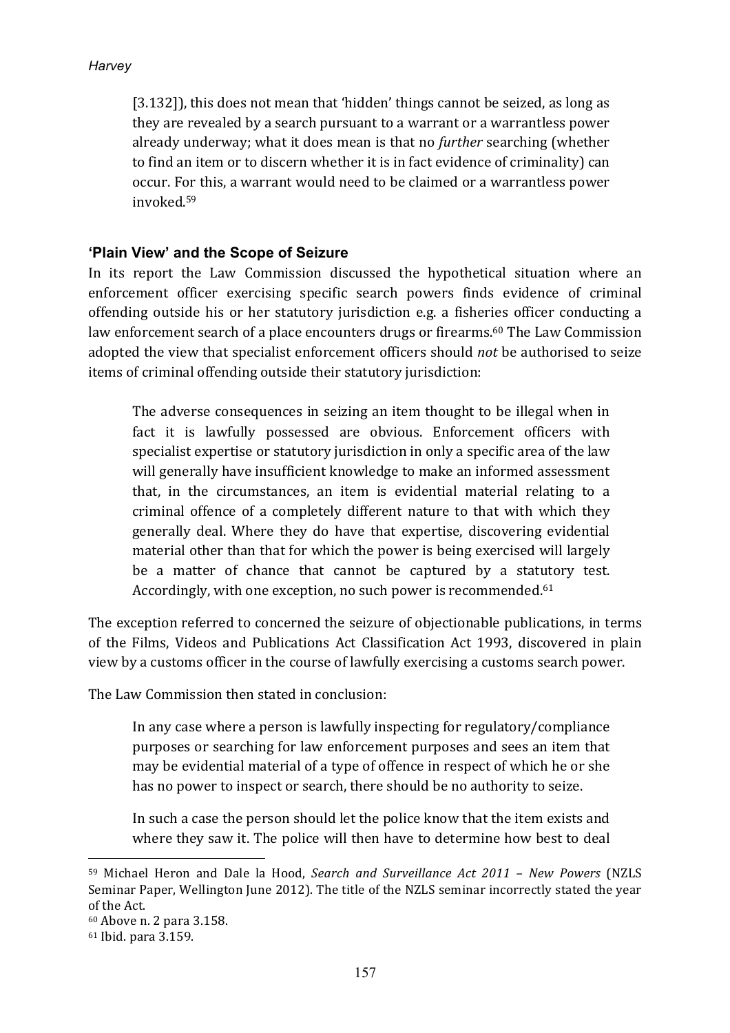[3.132]), this does not mean that 'hidden' things cannot be seized, as long as they are revealed by a search pursuant to a warrant or a warrantless power already underway; what it does mean is that no *further* searching (whether to find an item or to discern whether it is in fact evidence of criminality) can occur. For this, a warrant would need to be claimed or a warrantless power invoked.59

## **'Plain View' and the Scope of Seizure**

In its report the Law Commission discussed the hypothetical situation where an enforcement officer exercising specific search powers finds evidence of criminal offending outside his or her statutory jurisdiction e.g. a fisheries officer conducting a law enforcement search of a place encounters drugs or firearms.<sup>60</sup> The Law Commission adopted the view that specialist enforcement officers should *not* be authorised to seize items of criminal offending outside their statutory jurisdiction:

The adverse consequences in seizing an item thought to be illegal when in fact it is lawfully possessed are obvious. Enforcement officers with specialist expertise or statutory jurisdiction in only a specific area of the law will generally have insufficient knowledge to make an informed assessment that, in the circumstances, an item is evidential material relating to a criminal offence of a completely different nature to that with which they generally deal. Where they do have that expertise, discovering evidential material other than that for which the power is being exercised will largely be a matter of chance that cannot be captured by a statutory test. Accordingly, with one exception, no such power is recommended.<sup>61</sup>

The exception referred to concerned the seizure of objectionable publications, in terms of the Films, Videos and Publications Act Classification Act 1993, discovered in plain view by a customs officer in the course of lawfully exercising a customs search power.

The Law Commission then stated in conclusion:

In any case where a person is lawfully inspecting for regulatory/compliance purposes or searching for law enforcement purposes and sees an item that may be evidential material of a type of offence in respect of which he or she has no power to inspect or search, there should be no authority to seize.

In such a case the person should let the police know that the item exists and where they saw it. The police will then have to determine how best to deal

<sup>59</sup> Michael Heron and Dale la Hood, *Search and Surveillance Act 2011 – New Powers* (NZLS Seminar Paper, Wellington June 2012). The title of the NZLS seminar incorrectly stated the year of the Act.

<sup>60</sup> Above n. 2 para 3.158.

<sup>61</sup> Ibid. para 3.159.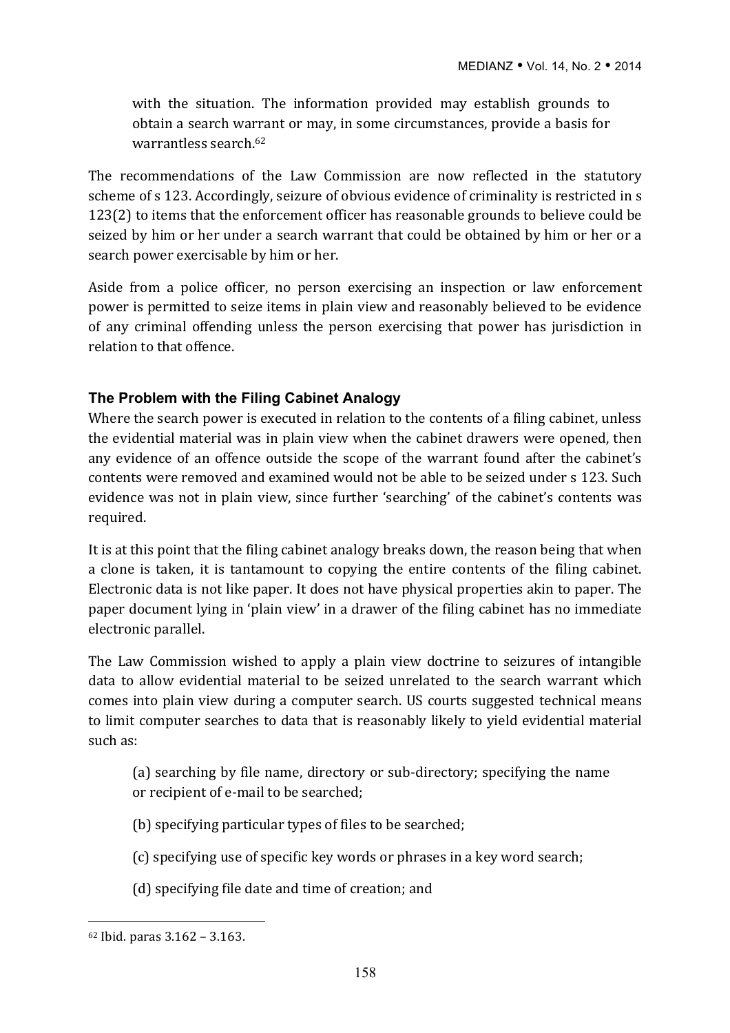with the situation. The information provided may establish grounds to obtain a search warrant or may, in some circumstances, provide a basis for warrantless search 62

The recommendations of the Law Commission are now reflected in the statutory scheme of s 123. Accordingly, seizure of obvious evidence of criminality is restricted in s 123(2) to items that the enforcement officer has reasonable grounds to believe could be seized by him or her under a search warrant that could be obtained by him or her or a search power exercisable by him or her.

Aside from a police officer, no person exercising an inspection or law enforcement power is permitted to seize items in plain view and reasonably believed to be evidence of any criminal offending unless the person exercising that power has jurisdiction in relation to that offence.

#### **The Problem with the Filing Cabinet Analogy**

Where the search power is executed in relation to the contents of a filing cabinet, unless the evidential material was in plain view when the cabinet drawers were opened, then any evidence of an offence outside the scope of the warrant found after the cabinet's contents were removed and examined would not be able to be seized under s 123. Such evidence was not in plain view, since further 'searching' of the cabinet's contents was required.

It is at this point that the filing cabinet analogy breaks down, the reason being that when a clone is taken, it is tantamount to copying the entire contents of the filing cabinet. Electronic data is not like paper. It does not have physical properties akin to paper. The paper document lying in 'plain view' in a drawer of the filing cabinet has no immediate electronic parallel.

The Law Commission wished to apply a plain view doctrine to seizures of intangible data to allow evidential material to be seized unrelated to the search warrant which comes into plain view during a computer search. US courts suggested technical means to limit computer searches to data that is reasonably likely to yield evidential material such as:

(a) searching by file name, directory or sub-directory; specifying the name or recipient of e-mail to be searched;

- (b) specifying particular types of files to be searched;
- (c) specifying use of specific key words or phrases in a key word search;
- (d) specifying file date and time of creation; and

 $62$  Ibid. paras  $3.162 - 3.163$ .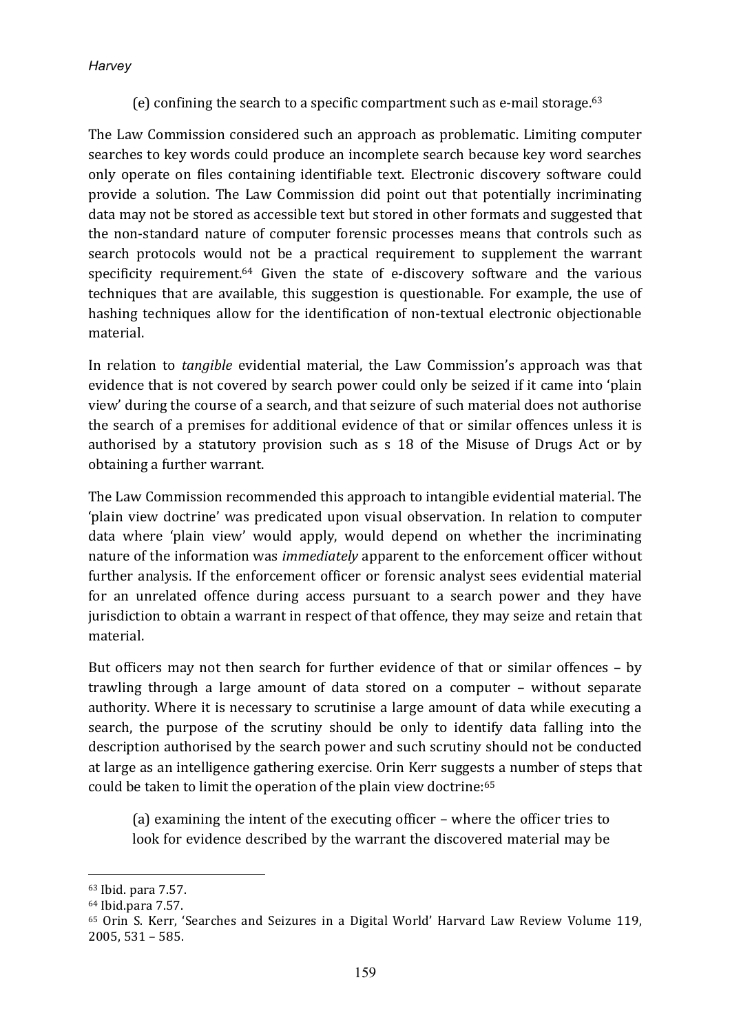(e) confining the search to a specific compartment such as e-mail storage.<sup>63</sup>

The Law Commission considered such an approach as problematic. Limiting computer searches to key words could produce an incomplete search because key word searches only operate on files containing identifiable text. Electronic discovery software could provide a solution. The Law Commission did point out that potentially incriminating data may not be stored as accessible text but stored in other formats and suggested that the non-standard nature of computer forensic processes means that controls such as search protocols would not be a practical requirement to supplement the warrant specificity requirement.<sup>64</sup> Given the state of e-discovery software and the various techniques that are available, this suggestion is questionable. For example, the use of hashing techniques allow for the identification of non-textual electronic objectionable material.

In relation to *tangible* evidential material, the Law Commission's approach was that evidence that is not covered by search power could only be seized if it came into 'plain view' during the course of a search, and that seizure of such material does not authorise the search of a premises for additional evidence of that or similar offences unless it is authorised by a statutory provision such as s 18 of the Misuse of Drugs Act or by obtaining a further warrant.

The Law Commission recommended this approach to intangible evidential material. The 'plain view doctrine' was predicated upon visual observation. In relation to computer data where 'plain view' would apply, would depend on whether the incriminating nature of the information was *immediately* apparent to the enforcement officer without further analysis. If the enforcement officer or forensic analyst sees evidential material for an unrelated offence during access pursuant to a search power and they have jurisdiction to obtain a warrant in respect of that offence, they may seize and retain that material.

But officers may not then search for further evidence of that or similar offences  $-$  by trawling through a large amount of data stored on a computer – without separate authority. Where it is necessary to scrutinise a large amount of data while executing a search, the purpose of the scrutiny should be only to identify data falling into the description authorised by the search power and such scrutiny should not be conducted at large as an intelligence gathering exercise. Orin Kerr suggests a number of steps that could be taken to limit the operation of the plain view doctrine:<sup>65</sup>

(a) examining the intent of the executing officer – where the officer tries to look for evidence described by the warrant the discovered material may be

<sup>63</sup> Ibid. para 7.57.

<sup>64</sup> Ibid.para 7.57.

<sup>&</sup>lt;sup>65</sup> Orin S. Kerr, 'Searches and Seizures in a Digital World' Harvard Law Review Volume 119,  $2005, 531 - 585.$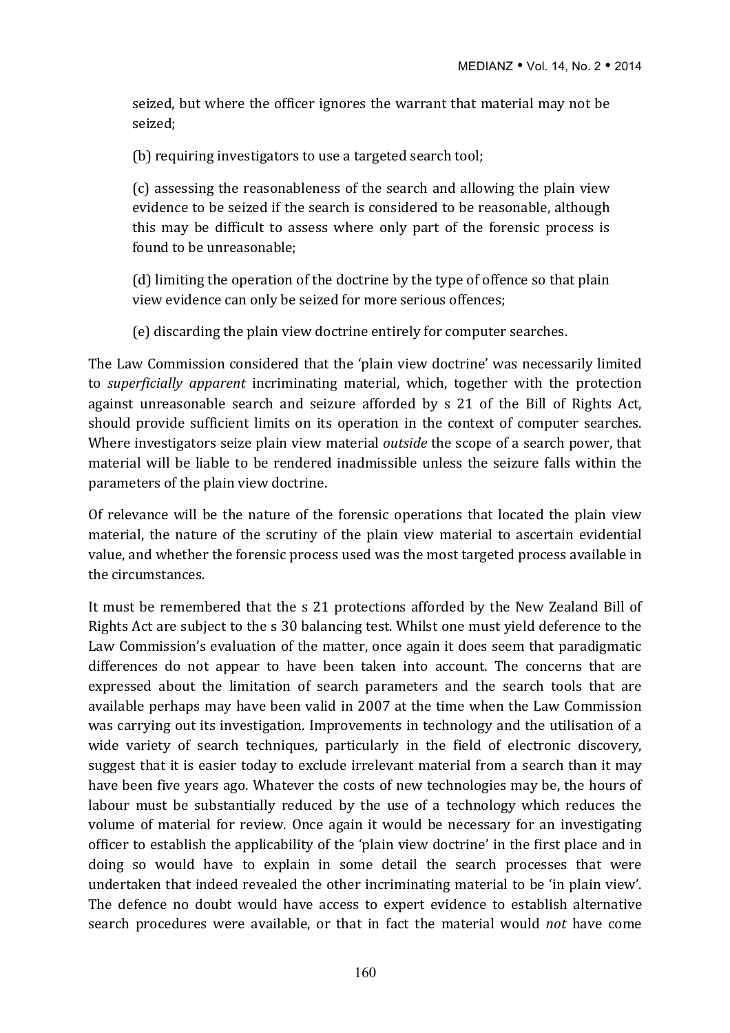seized, but where the officer ignores the warrant that material may not be seized;

(b) requiring investigators to use a targeted search tool;

(c) assessing the reasonableness of the search and allowing the plain view evidence to be seized if the search is considered to be reasonable, although this may be difficult to assess where only part of the forensic process is found to be unreasonable:

(d) limiting the operation of the doctrine by the type of offence so that plain view evidence can only be seized for more serious offences;

(e) discarding the plain view doctrine entirely for computer searches.

The Law Commission considered that the 'plain view doctrine' was necessarily limited to *superficially apparent* incriminating material, which, together with the protection against unreasonable search and seizure afforded by s 21 of the Bill of Rights Act, should provide sufficient limits on its operation in the context of computer searches. Where investigators seize plain view material *outside* the scope of a search power, that material will be liable to be rendered inadmissible unless the seizure falls within the parameters of the plain view doctrine.

Of relevance will be the nature of the forensic operations that located the plain view material, the nature of the scrutiny of the plain view material to ascertain evidential value, and whether the forensic process used was the most targeted process available in the circumstances.

It must be remembered that the s 21 protections afforded by the New Zealand Bill of Rights Act are subject to the s 30 balancing test. Whilst one must vield deference to the Law Commission's evaluation of the matter, once again it does seem that paradigmatic differences do not appear to have been taken into account. The concerns that are expressed about the limitation of search parameters and the search tools that are available perhaps may have been valid in 2007 at the time when the Law Commission was carrying out its investigation. Improvements in technology and the utilisation of a wide variety of search techniques, particularly in the field of electronic discovery, suggest that it is easier today to exclude irrelevant material from a search than it may have been five years ago. Whatever the costs of new technologies may be, the hours of labour must be substantially reduced by the use of a technology which reduces the volume of material for review. Once again it would be necessary for an investigating officer to establish the applicability of the 'plain view doctrine' in the first place and in doing so would have to explain in some detail the search processes that were undertaken that indeed revealed the other incriminating material to be 'in plain view'. The defence no doubt would have access to expert evidence to establish alternative search procedures were available, or that in fact the material would *not* have come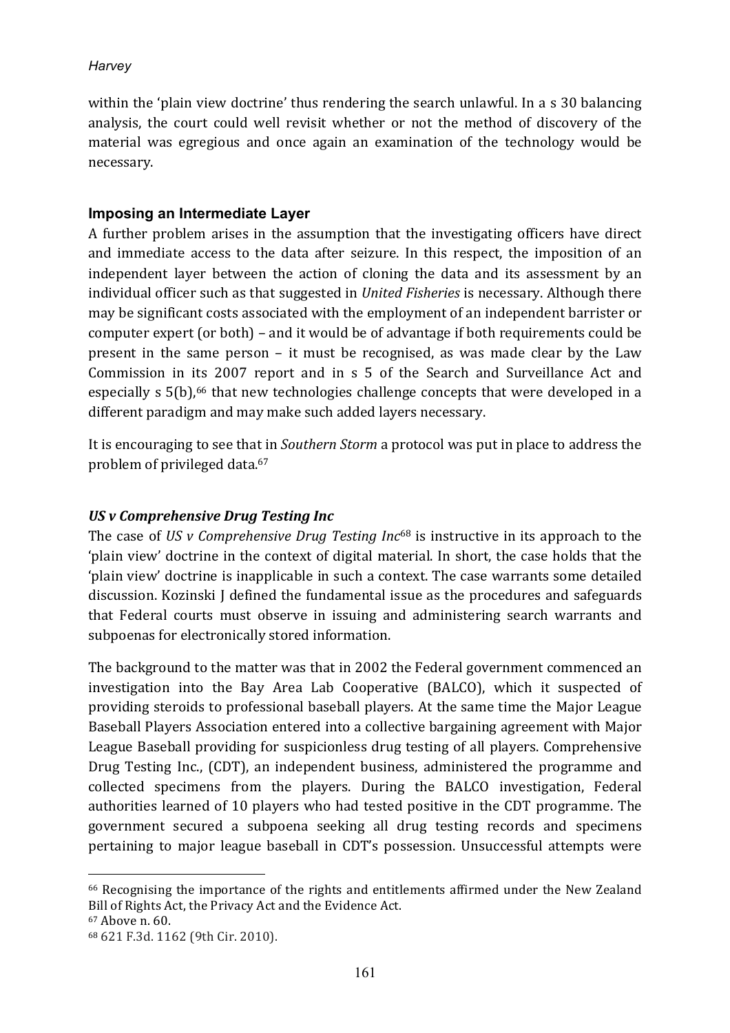within the 'plain view doctrine' thus rendering the search unlawful. In a  $\sigma$  30 balancing analysis, the court could well revisit whether or not the method of discovery of the material was egregious and once again an examination of the technology would be necessary.

#### **Imposing an Intermediate Layer**

A further problem arises in the assumption that the investigating officers have direct and immediate access to the data after seizure. In this respect, the imposition of an independent layer between the action of cloning the data and its assessment by an individual officer such as that suggested in *United Fisheries* is necessary. Although there may be significant costs associated with the employment of an independent barrister or computer expert (or both) – and it would be of advantage if both requirements could be present in the same person  $-$  it must be recognised, as was made clear by the Law Commission in its 2007 report and in s 5 of the Search and Surveillance Act and especially  $s$  5(b),<sup>66</sup> that new technologies challenge concepts that were developed in a different paradigm and may make such added layers necessary.

It is encouraging to see that in *Southern Storm* a protocol was put in place to address the problem of privileged data.<sup>67</sup>

## *US v Comprehensive Drug Testing Inc*

The case of *US* v Comprehensive Drug Testing Inc<sup>68</sup> is instructive in its approach to the 'plain view' doctrine in the context of digital material. In short, the case holds that the 'plain view' doctrine is inapplicable in such a context. The case warrants some detailed discussion. Kozinski I defined the fundamental issue as the procedures and safeguards that Federal courts must observe in issuing and administering search warrants and subpoenas for electronically stored information.

The background to the matter was that in 2002 the Federal government commenced an investigation into the Bay Area Lab Cooperative (BALCO), which it suspected of providing steroids to professional baseball players. At the same time the Major League Baseball Players Association entered into a collective bargaining agreement with Major League Baseball providing for suspicionless drug testing of all players. Comprehensive Drug Testing Inc., (CDT), an independent business, administered the programme and collected specimens from the players. During the BALCO investigation, Federal authorities learned of 10 players who had tested positive in the CDT programme. The government secured a subpoena seeking all drug testing records and specimens pertaining to major league baseball in CDT's possession. Unsuccessful attempts were

<sup>&</sup>lt;sup>66</sup> Recognising the importance of the rights and entitlements affirmed under the New Zealand Bill of Rights Act, the Privacy Act and the Evidence Act.

<sup>67</sup> Above n. 60.

<sup>68 621</sup> F.3d. 1162 (9th Cir. 2010).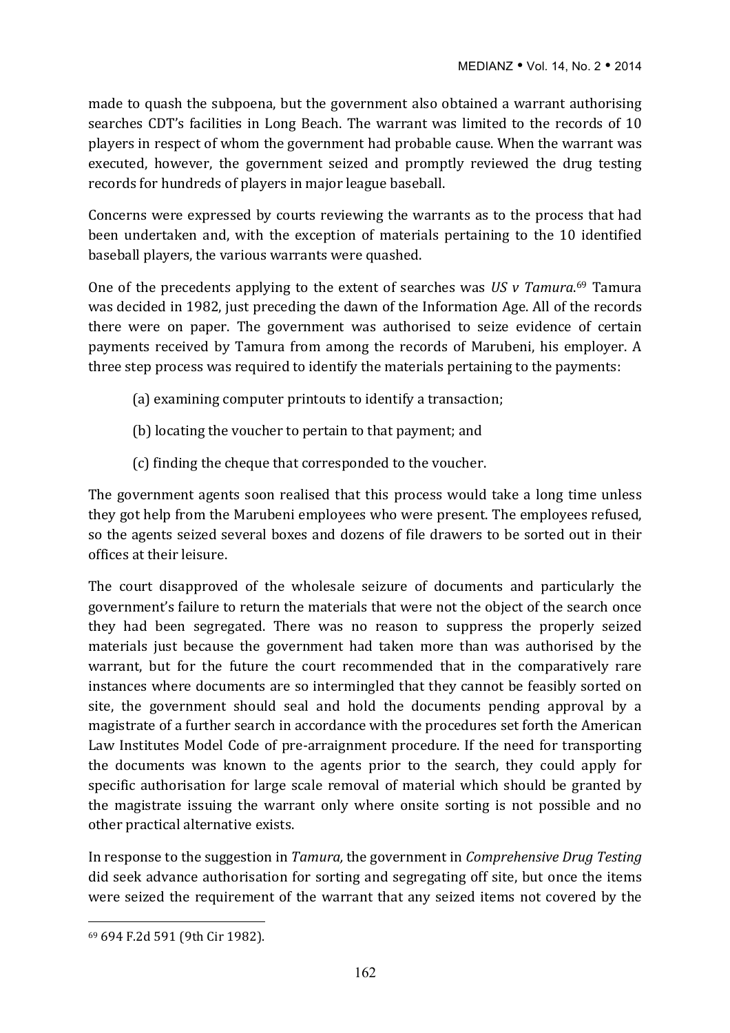made to quash the subpoena, but the government also obtained a warrant authorising searches CDT's facilities in Long Beach. The warrant was limited to the records of 10 players in respect of whom the government had probable cause. When the warrant was executed, however, the government seized and promptly reviewed the drug testing records for hundreds of players in major league baseball.

Concerns were expressed by courts reviewing the warrants as to the process that had been undertaken and, with the exception of materials pertaining to the 10 identified baseball players, the various warrants were quashed.

One of the precedents applying to the extent of searches was US v Tamura.<sup>69</sup> Tamura was decided in 1982, just preceding the dawn of the Information Age. All of the records there were on paper. The government was authorised to seize evidence of certain payments received by Tamura from among the records of Marubeni, his employer. A three step process was required to identify the materials pertaining to the payments:

- (a) examining computer printouts to identify a transaction;
- (b) locating the voucher to pertain to that payment; and
- (c) finding the cheque that corresponded to the voucher.

The government agents soon realised that this process would take a long time unless they got help from the Marubeni employees who were present. The employees refused, so the agents seized several boxes and dozens of file drawers to be sorted out in their offices at their leisure.

The court disapproved of the wholesale seizure of documents and particularly the government's failure to return the materials that were not the object of the search once they had been segregated. There was no reason to suppress the properly seized materials just because the government had taken more than was authorised by the warrant, but for the future the court recommended that in the comparatively rare instances where documents are so intermingled that they cannot be feasibly sorted on site, the government should seal and hold the documents pending approval by a magistrate of a further search in accordance with the procedures set forth the American Law Institutes Model Code of pre-arraignment procedure. If the need for transporting the documents was known to the agents prior to the search, they could apply for specific authorisation for large scale removal of material which should be granted by the magistrate issuing the warrant only where onsite sorting is not possible and no other practical alternative exists.

In response to the suggestion in *Tamura*, the government in *Comprehensive Drug Testing* did seek advance authorisation for sorting and segregating off site, but once the items were seized the requirement of the warrant that any seized items not covered by the

 $\overline{a}$ <sup>69</sup> 694 F.2d 591 (9th Cir 1982).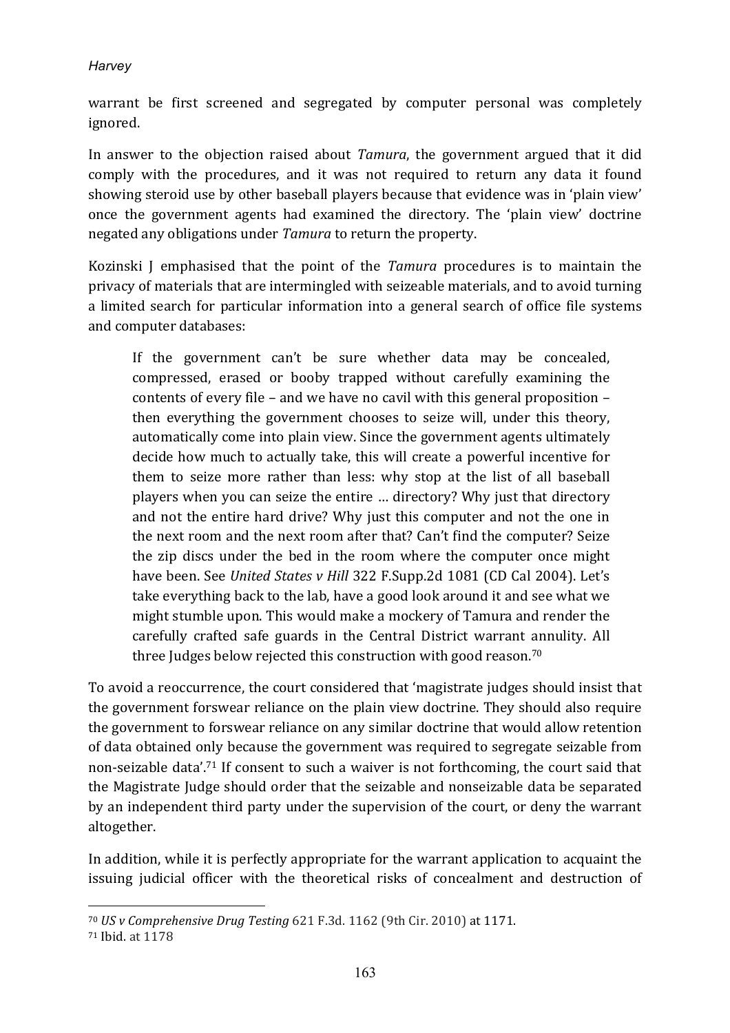warrant be first screened and segregated by computer personal was completely ignored.

In answer to the objection raised about *Tamura*, the government argued that it did comply with the procedures, and it was not required to return any data it found showing steroid use by other baseball players because that evidence was in 'plain view' once the government agents had examined the directory. The 'plain view' doctrine negated any obligations under *Tamura* to return the property.

Kozinski J emphasised that the point of the *Tamura* procedures is to maintain the privacy of materials that are intermingled with seizeable materials, and to avoid turning a limited search for particular information into a general search of office file systems and computer databases:

If the government can't be sure whether data may be concealed, compressed, erased or booby trapped without carefully examining the contents of every file – and we have no cavil with this general proposition – then everything the government chooses to seize will, under this theory, automatically come into plain view. Since the government agents ultimately decide how much to actually take, this will create a powerful incentive for them to seize more rather than less: why stop at the list of all baseball players when you can seize the entire ... directory? Why just that directory and not the entire hard drive? Why just this computer and not the one in the next room and the next room after that? Can't find the computer? Seize the zip discs under the bed in the room where the computer once might have been. See *United States v Hill* 322 F.Supp.2d 1081 (CD Cal 2004). Let's take everything back to the lab, have a good look around it and see what we might stumble upon. This would make a mockery of Tamura and render the carefully crafted safe guards in the Central District warrant annulity. All three Judges below rejected this construction with good reason.<sup>70</sup>

To avoid a reoccurrence, the court considered that 'magistrate judges should insist that the government forswear reliance on the plain view doctrine. They should also require the government to forswear reliance on any similar doctrine that would allow retention of data obtained only because the government was required to segregate seizable from non-seizable data'.<sup>71</sup> If consent to such a waiver is not forthcoming, the court said that the Magistrate Judge should order that the seizable and nonseizable data be separated by an independent third party under the supervision of the court, or deny the warrant altogether.

In addition, while it is perfectly appropriate for the warrant application to acquaint the issuing judicial officer with the theoretical risks of concealment and destruction of

<sup>&</sup>lt;sup>70</sup> *US* v Comprehensive Drug Testing 621 F.3d. 1162 (9th Cir. 2010) at 1171.

<sup>71</sup> Ibid. at 1178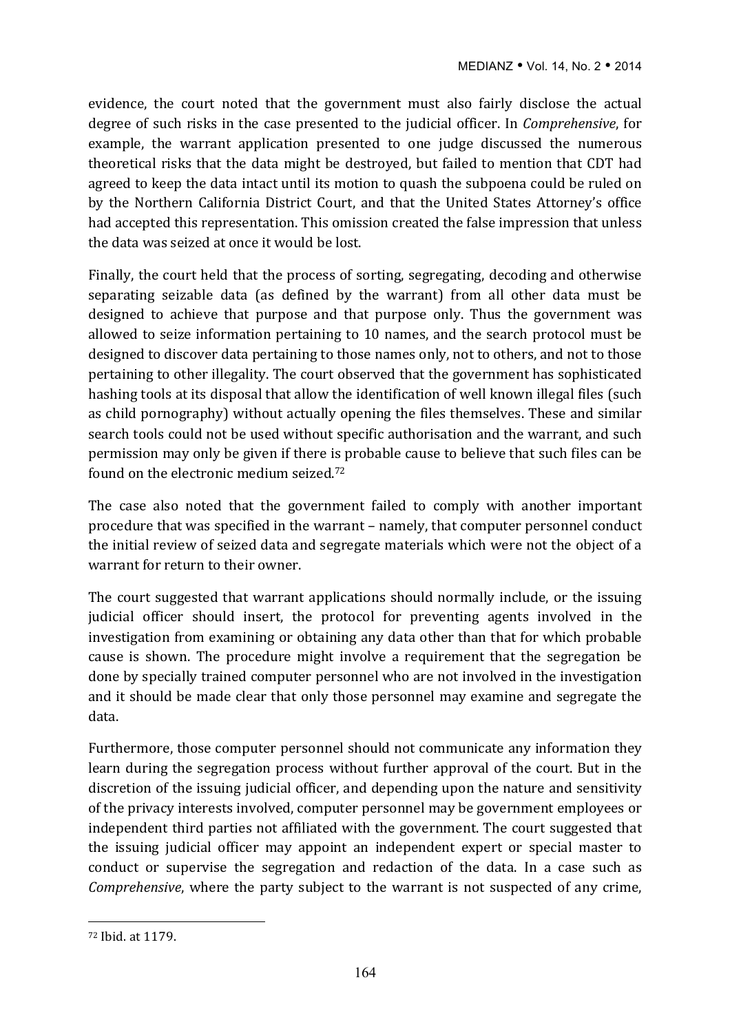evidence, the court noted that the government must also fairly disclose the actual degree of such risks in the case presented to the judicial officer. In *Comprehensive*, for example, the warrant application presented to one judge discussed the numerous theoretical risks that the data might be destroyed, but failed to mention that CDT had agreed to keep the data intact until its motion to quash the subpoena could be ruled on by the Northern California District Court, and that the United States Attorney's office had accepted this representation. This omission created the false impression that unless the data was seized at once it would be lost.

Finally, the court held that the process of sorting, segregating, decoding and otherwise separating seizable data (as defined by the warrant) from all other data must be designed to achieve that purpose and that purpose only. Thus the government was allowed to seize information pertaining to 10 names, and the search protocol must be designed to discover data pertaining to those names only, not to others, and not to those pertaining to other illegality. The court observed that the government has sophisticated hashing tools at its disposal that allow the identification of well known illegal files (such as child pornography) without actually opening the files themselves. These and similar search tools could not be used without specific authorisation and the warrant, and such permission may only be given if there is probable cause to believe that such files can be found on the electronic medium seized.<sup>72</sup>

The case also noted that the government failed to comply with another important procedure that was specified in the warrant – namely, that computer personnel conduct the initial review of seized data and segregate materials which were not the object of a warrant for return to their owner.

The court suggested that warrant applications should normally include, or the issuing judicial officer should insert, the protocol for preventing agents involved in the investigation from examining or obtaining any data other than that for which probable cause is shown. The procedure might involve a requirement that the segregation be done by specially trained computer personnel who are not involved in the investigation and it should be made clear that only those personnel may examine and segregate the data.

Furthermore, those computer personnel should not communicate any information they learn during the segregation process without further approval of the court. But in the discretion of the issuing judicial officer, and depending upon the nature and sensitivity of the privacy interests involved, computer personnel may be government employees or independent third parties not affiliated with the government. The court suggested that the issuing judicial officer may appoint an independent expert or special master to conduct or supervise the segregation and redaction of the data. In a case such as *Comprehensive*, where the party subject to the warrant is not suspected of any crime,

<sup>72</sup> Ibid. at 1179.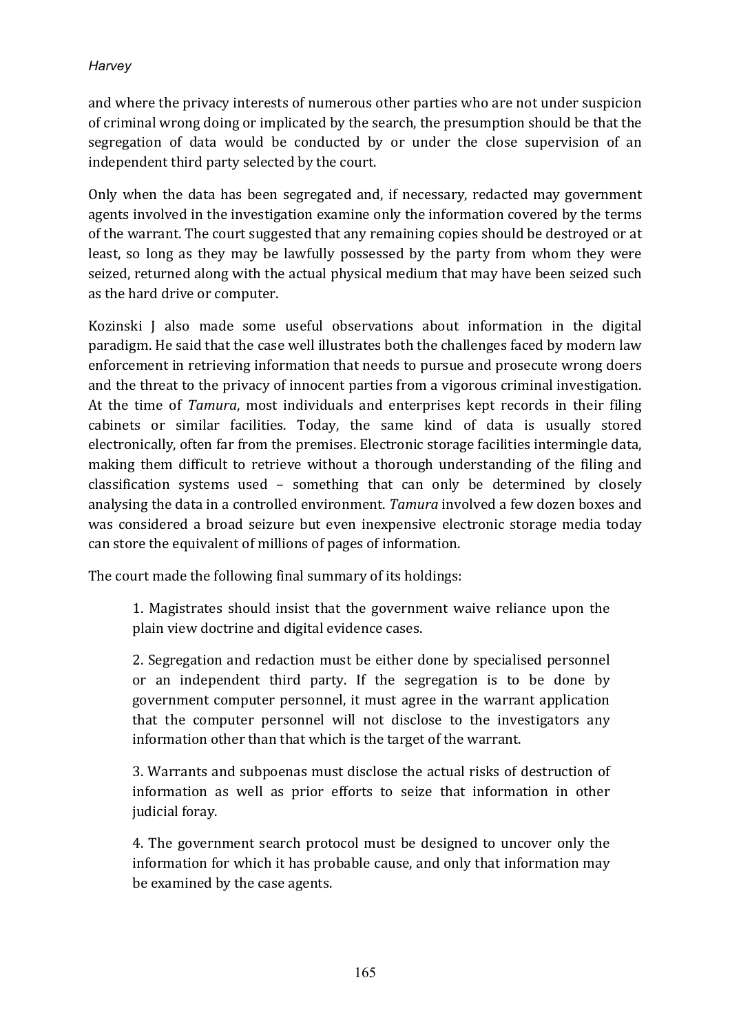and where the privacy interests of numerous other parties who are not under suspicion of criminal wrong doing or implicated by the search, the presumption should be that the segregation of data would be conducted by or under the close supervision of an independent third party selected by the court.

Only when the data has been segregated and, if necessary, redacted may government agents involved in the investigation examine only the information covered by the terms of the warrant. The court suggested that any remaining copies should be destroyed or at least, so long as they may be lawfully possessed by the party from whom they were seized, returned along with the actual physical medium that may have been seized such as the hard drive or computer.

Kozinski J also made some useful observations about information in the digital paradigm. He said that the case well illustrates both the challenges faced by modern law enforcement in retrieving information that needs to pursue and prosecute wrong doers and the threat to the privacy of innocent parties from a vigorous criminal investigation. At the time of *Tamura*, most individuals and enterprises kept records in their filing cabinets or similar facilities. Today, the same kind of data is usually stored electronically, often far from the premises. Electronic storage facilities intermingle data, making them difficult to retrieve without a thorough understanding of the filing and classification systems used  $-$  something that can only be determined by closely analysing the data in a controlled environment. *Tamura* involved a few dozen boxes and was considered a broad seizure but even inexpensive electronic storage media today can store the equivalent of millions of pages of information.

The court made the following final summary of its holdings:

1. Magistrates should insist that the government waive reliance upon the plain view doctrine and digital evidence cases.

2. Segregation and redaction must be either done by specialised personnel or an independent third party. If the segregation is to be done by government computer personnel, it must agree in the warrant application that the computer personnel will not disclose to the investigators any information other than that which is the target of the warrant.

3. Warrants and subpoenas must disclose the actual risks of destruction of information as well as prior efforts to seize that information in other judicial foray.

4. The government search protocol must be designed to uncover only the information for which it has probable cause, and only that information may be examined by the case agents.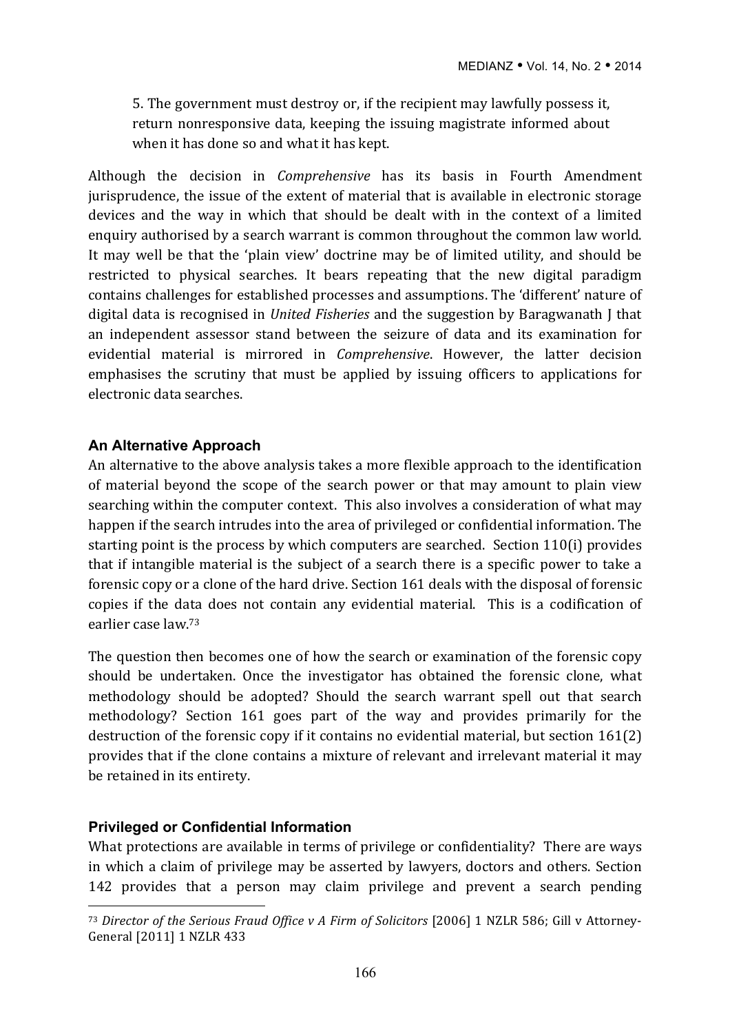5. The government must destroy or, if the recipient may lawfully possess it, return nonresponsive data, keeping the issuing magistrate informed about when it has done so and what it has kept.

Although the decision in *Comprehensive* has its basis in Fourth Amendment jurisprudence, the issue of the extent of material that is available in electronic storage devices and the way in which that should be dealt with in the context of a limited enquiry authorised by a search warrant is common throughout the common law world. It may well be that the 'plain view' doctrine may be of limited utility, and should be restricted to physical searches. It bears repeating that the new digital paradigm contains challenges for established processes and assumptions. The 'different' nature of digital data is recognised in *United Fisheries* and the suggestion by Baragwanath I that an independent assessor stand between the seizure of data and its examination for evidential material is mirrored in *Comprehensive*. However, the latter decision emphasises the scrutiny that must be applied by issuing officers to applications for electronic data searches.

#### **An Alternative Approach**

An alternative to the above analysis takes a more flexible approach to the identification of material beyond the scope of the search power or that may amount to plain view searching within the computer context. This also involves a consideration of what may happen if the search intrudes into the area of privileged or confidential information. The starting point is the process by which computers are searched. Section  $110(i)$  provides that if intangible material is the subject of a search there is a specific power to take a forensic copy or a clone of the hard drive. Section 161 deals with the disposal of forensic copies if the data does not contain any evidential material. This is a codification of earlier case law.<sup>73</sup>

The question then becomes one of how the search or examination of the forensic copy should be undertaken. Once the investigator has obtained the forensic clone, what methodology should be adopted? Should the search warrant spell out that search methodology? Section 161 goes part of the way and provides primarily for the destruction of the forensic copy if it contains no evidential material, but section  $161(2)$ provides that if the clone contains a mixture of relevant and irrelevant material it may be retained in its entirety.

#### **Privileged or Confidential Information**

 $\overline{a}$ 

What protections are available in terms of privilege or confidentiality? There are ways in which a claim of privilege may be asserted by lawyers, doctors and others. Section 142 provides that a person may claim privilege and prevent a search pending

<sup>&</sup>lt;sup>73</sup> Director of the Serious Fraud Office v A Firm of Solicitors [2006] 1 NZLR 586; Gill v Attorney-General [2011] 1 NZLR 433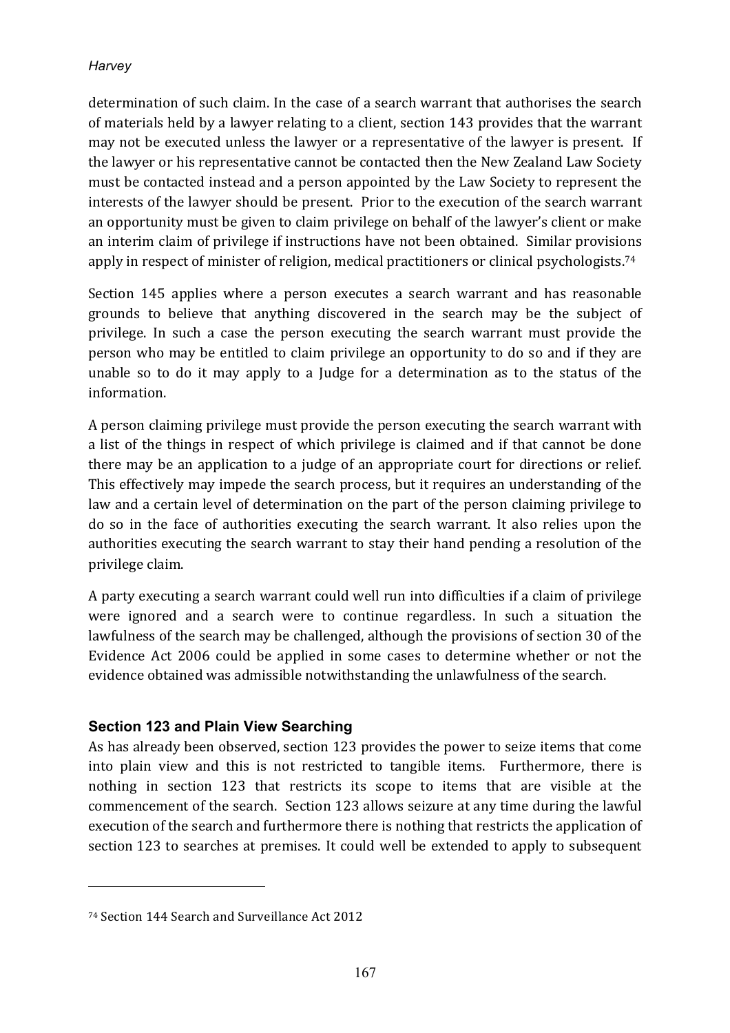determination of such claim. In the case of a search warrant that authorises the search of materials held by a lawyer relating to a client, section 143 provides that the warrant may not be executed unless the lawyer or a representative of the lawyer is present. If the lawyer or his representative cannot be contacted then the New Zealand Law Society must be contacted instead and a person appointed by the Law Society to represent the interests of the lawyer should be present. Prior to the execution of the search warrant an opportunity must be given to claim privilege on behalf of the lawyer's client or make an interim claim of privilege if instructions have not been obtained. Similar provisions apply in respect of minister of religion, medical practitioners or clinical psychologists.<sup>74</sup>

Section 145 applies where a person executes a search warrant and has reasonable grounds to believe that anything discovered in the search may be the subject of privilege. In such a case the person executing the search warrant must provide the person who may be entitled to claim privilege an opportunity to do so and if they are unable so to do it may apply to a Judge for a determination as to the status of the information.

A person claiming privilege must provide the person executing the search warrant with a list of the things in respect of which privilege is claimed and if that cannot be done there may be an application to a judge of an appropriate court for directions or relief. This effectively may impede the search process, but it requires an understanding of the law and a certain level of determination on the part of the person claiming privilege to do so in the face of authorities executing the search warrant. It also relies upon the authorities executing the search warrant to stay their hand pending a resolution of the privilege claim. 

A party executing a search warrant could well run into difficulties if a claim of privilege were ignored and a search were to continue regardless. In such a situation the lawfulness of the search may be challenged, although the provisions of section 30 of the Evidence Act 2006 could be applied in some cases to determine whether or not the evidence obtained was admissible notwithstanding the unlawfulness of the search.

## **Section 123 and Plain View Searching**

As has already been observed, section 123 provides the power to seize items that come into plain view and this is not restricted to tangible items. Furthermore, there is nothing in section 123 that restricts its scope to items that are visible at the commencement of the search. Section 123 allows seizure at any time during the lawful execution of the search and furthermore there is nothing that restricts the application of section 123 to searches at premises. It could well be extended to apply to subsequent

<sup>&</sup>lt;sup>74</sup> Section 144 Search and Surveillance Act 2012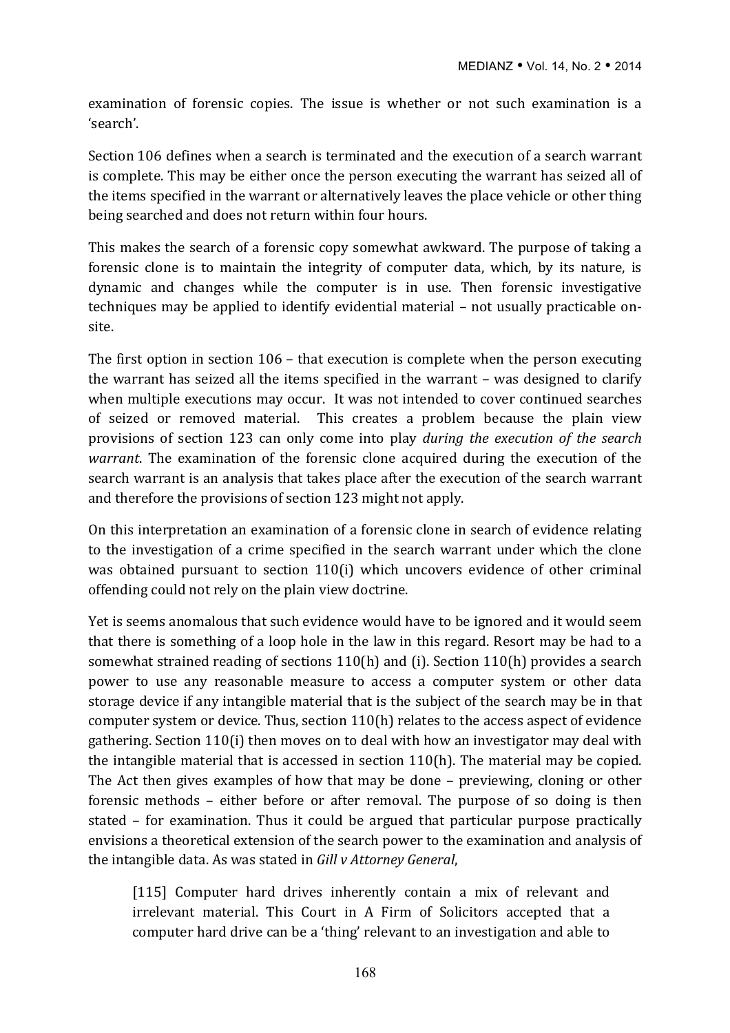examination of forensic copies. The issue is whether or not such examination is a 'search'. 

Section 106 defines when a search is terminated and the execution of a search warrant is complete. This may be either once the person executing the warrant has seized all of the items specified in the warrant or alternatively leaves the place vehicle or other thing being searched and does not return within four hours.

This makes the search of a forensic copy somewhat awkward. The purpose of taking a forensic clone is to maintain the integrity of computer data, which, by its nature, is dynamic and changes while the computer is in use. Then forensic investigative techniques may be applied to identify evidential material – not usually practicable onsite. 

The first option in section  $106$  – that execution is complete when the person executing the warrant has seized all the items specified in the warrant  $-$  was designed to clarify when multiple executions may occur. It was not intended to cover continued searches of seized or removed material. This creates a problem because the plain view provisions of section 123 can only come into play *during the execution of the search warrant*. The examination of the forensic clone acquired during the execution of the search warrant is an analysis that takes place after the execution of the search warrant and therefore the provisions of section 123 might not apply.

On this interpretation an examination of a forensic clone in search of evidence relating to the investigation of a crime specified in the search warrant under which the clone was obtained pursuant to section 110(i) which uncovers evidence of other criminal offending could not rely on the plain view doctrine.

Yet is seems anomalous that such evidence would have to be ignored and it would seem that there is something of a loop hole in the law in this regard. Resort may be had to a somewhat strained reading of sections  $110(h)$  and (i). Section  $110(h)$  provides a search power to use any reasonable measure to access a computer system or other data storage device if any intangible material that is the subject of the search may be in that computer system or device. Thus, section  $110(h)$  relates to the access aspect of evidence gathering. Section  $110(i)$  then moves on to deal with how an investigator may deal with the intangible material that is accessed in section  $110(h)$ . The material may be copied. The Act then gives examples of how that may be done – previewing, cloning or other forensic methods – either before or after removal. The purpose of so doing is then stated – for examination. Thus it could be argued that particular purpose practically envisions a theoretical extension of the search power to the examination and analysis of the intangible data. As was stated in *Gill v Attorney General*,

[115] Computer hard drives inherently contain a mix of relevant and irrelevant material. This Court in A Firm of Solicitors accepted that a computer hard drive can be a 'thing' relevant to an investigation and able to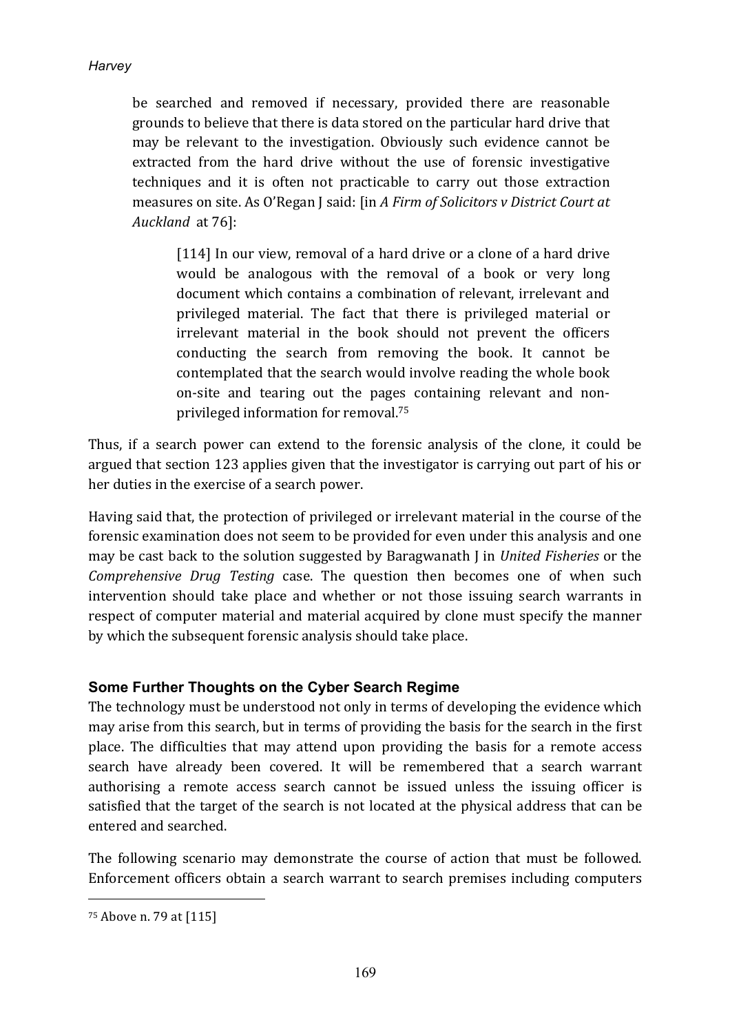be searched and removed if necessary, provided there are reasonable grounds to believe that there is data stored on the particular hard drive that may be relevant to the investigation. Obviously such evidence cannot be extracted from the hard drive without the use of forensic investigative techniques and it is often not practicable to carry out those extraction measures on site. As O'Regan J said: [in *A Firm of Solicitors v District Court at* Auckland at 76]:

[114] In our view, removal of a hard drive or a clone of a hard drive would be analogous with the removal of a book or very long document which contains a combination of relevant, irrelevant and privileged material. The fact that there is privileged material or irrelevant material in the book should not prevent the officers conducting the search from removing the book. It cannot be contemplated that the search would involve reading the whole book on-site and tearing out the pages containing relevant and nonprivileged information for removal.<sup>75</sup>

Thus, if a search power can extend to the forensic analysis of the clone, it could be argued that section 123 applies given that the investigator is carrying out part of his or her duties in the exercise of a search power.

Having said that, the protection of privileged or irrelevant material in the course of the forensic examination does not seem to be provided for even under this analysis and one may be cast back to the solution suggested by Baragwanath *J* in *United Fisheries* or the *Comprehensive Drug Testing* case. The question then becomes one of when such intervention should take place and whether or not those issuing search warrants in respect of computer material and material acquired by clone must specify the manner by which the subsequent forensic analysis should take place.

## **Some Further Thoughts on the Cyber Search Regime**

The technology must be understood not only in terms of developing the evidence which may arise from this search, but in terms of providing the basis for the search in the first place. The difficulties that may attend upon providing the basis for a remote access search have already been covered. It will be remembered that a search warrant authorising a remote access search cannot be issued unless the issuing officer is satisfied that the target of the search is not located at the physical address that can be entered and searched.

The following scenario may demonstrate the course of action that must be followed. Enforcement officers obtain a search warrant to search premises including computers

 $75$  Above n. 79 at  $[115]$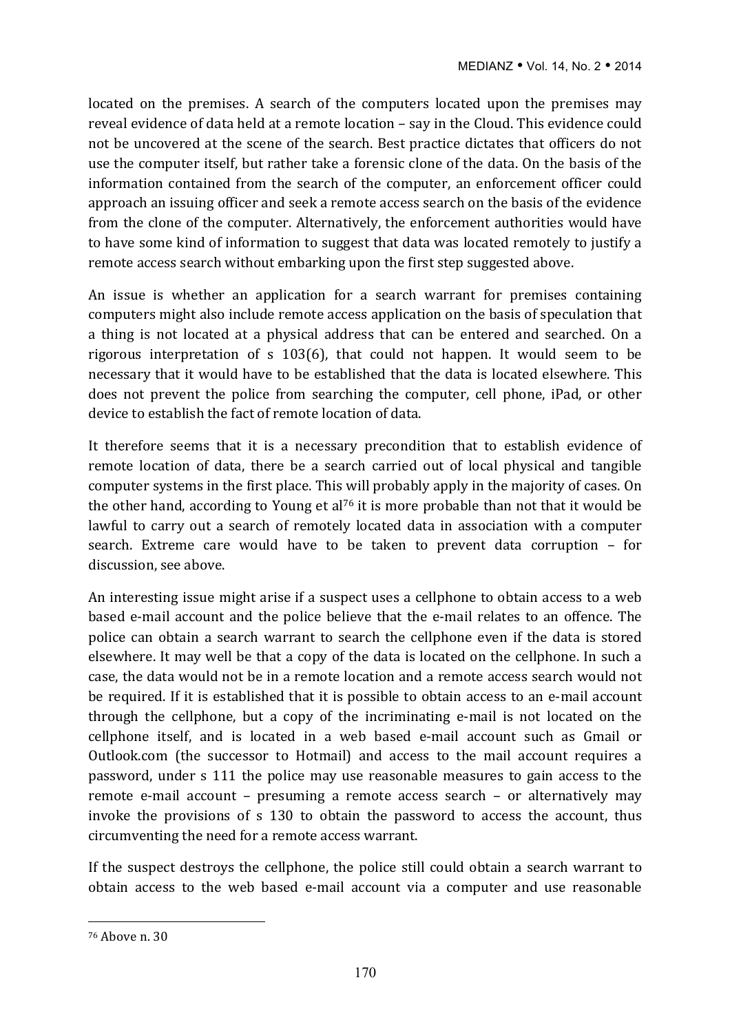located on the premises. A search of the computers located upon the premises may reveal evidence of data held at a remote location - say in the Cloud. This evidence could not be uncovered at the scene of the search. Best practice dictates that officers do not use the computer itself, but rather take a forensic clone of the data. On the basis of the information contained from the search of the computer, an enforcement officer could approach an issuing officer and seek a remote access search on the basis of the evidence from the clone of the computer. Alternatively, the enforcement authorities would have to have some kind of information to suggest that data was located remotely to justify a remote access search without embarking upon the first step suggested above.

An issue is whether an application for a search warrant for premises containing computers might also include remote access application on the basis of speculation that a thing is not located at a physical address that can be entered and searched. On a rigorous interpretation of  $s$  103(6), that could not happen. It would seem to be necessary that it would have to be established that the data is located elsewhere. This does not prevent the police from searching the computer, cell phone, iPad, or other device to establish the fact of remote location of data.

It therefore seems that it is a necessary precondition that to establish evidence of remote location of data, there be a search carried out of local physical and tangible computer systems in the first place. This will probably apply in the majority of cases. On the other hand, according to Young et al<sup>76</sup> it is more probable than not that it would be lawful to carry out a search of remotely located data in association with a computer search. Extreme care would have to be taken to prevent data corruption - for discussion, see above.

An interesting issue might arise if a suspect uses a cellphone to obtain access to a web based e-mail account and the police believe that the e-mail relates to an offence. The police can obtain a search warrant to search the cellphone even if the data is stored elsewhere. It may well be that a copy of the data is located on the cellphone. In such a case, the data would not be in a remote location and a remote access search would not be required. If it is established that it is possible to obtain access to an e-mail account through the cellphone, but a copy of the incriminating e-mail is not located on the cellphone itself, and is located in a web based e-mail account such as Gmail or Outlook.com (the successor to Hotmail) and access to the mail account requires a password, under s 111 the police may use reasonable measures to gain access to the remote e-mail account – presuming a remote access search – or alternatively may invoke the provisions of  $s$  130 to obtain the password to access the account, thus circumventing the need for a remote access warrant.

If the suspect destroys the cellphone, the police still could obtain a search warrant to obtain access to the web based e-mail account via a computer and use reasonable

<sup>&</sup>lt;sup>76</sup> Above n. 30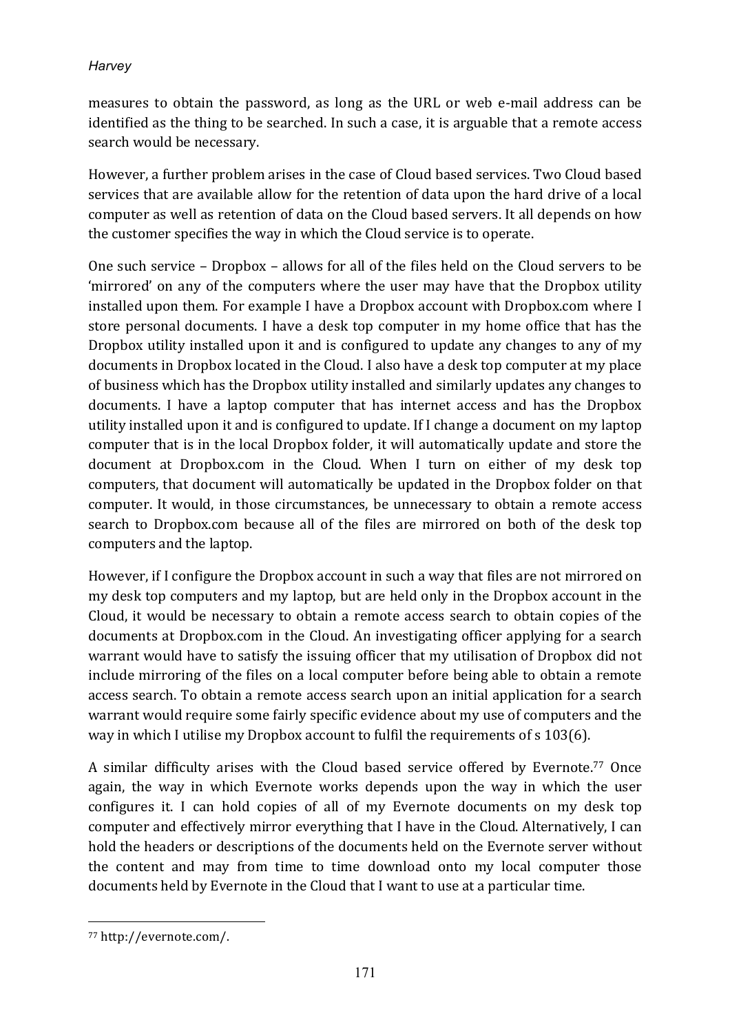measures to obtain the password, as long as the URL or web e-mail address can be identified as the thing to be searched. In such a case, it is arguable that a remote access search would be necessary.

However, a further problem arises in the case of Cloud based services. Two Cloud based services that are available allow for the retention of data upon the hard drive of a local computer as well as retention of data on the Cloud based servers. It all depends on how the customer specifies the way in which the Cloud service is to operate.

One such service – Dropbox – allows for all of the files held on the Cloud servers to be 'mirrored' on any of the computers where the user may have that the Dropbox utility installed upon them. For example I have a Dropbox account with Dropbox.com where I store personal documents. I have a desk top computer in my home office that has the Dropbox utility installed upon it and is configured to update any changes to any of my documents in Dropbox located in the Cloud. I also have a desk top computer at my place of business which has the Dropbox utility installed and similarly updates any changes to documents. I have a laptop computer that has internet access and has the Dropbox utility installed upon it and is configured to update. If I change a document on my laptop computer that is in the local Dropbox folder, it will automatically update and store the document at Dropbox.com in the Cloud. When I turn on either of my desk top computers, that document will automatically be updated in the Dropbox folder on that computer. It would, in those circumstances, be unnecessary to obtain a remote access search to Dropbox.com because all of the files are mirrored on both of the desk top computers and the laptop.

However, if I configure the Dropbox account in such a way that files are not mirrored on my desk top computers and my laptop, but are held only in the Dropbox account in the Cloud, it would be necessary to obtain a remote access search to obtain copies of the documents at Dropbox.com in the Cloud. An investigating officer applying for a search warrant would have to satisfy the issuing officer that my utilisation of Dropbox did not include mirroring of the files on a local computer before being able to obtain a remote access search. To obtain a remote access search upon an initial application for a search warrant would require some fairly specific evidence about my use of computers and the way in which I utilise my Dropbox account to fulfil the requirements of  $s$  103(6).

A similar difficulty arises with the Cloud based service offered by Evernote.<sup>77</sup> Once again, the way in which Evernote works depends upon the way in which the user configures it. I can hold copies of all of my Evernote documents on my desk top computer and effectively mirror everything that I have in the Cloud. Alternatively, I can hold the headers or descriptions of the documents held on the Evernote server without the content and may from time to time download onto my local computer those documents held by Evernote in the Cloud that I want to use at a particular time.

 $\overline{a}$ <sup>77</sup> http://evernote.com/.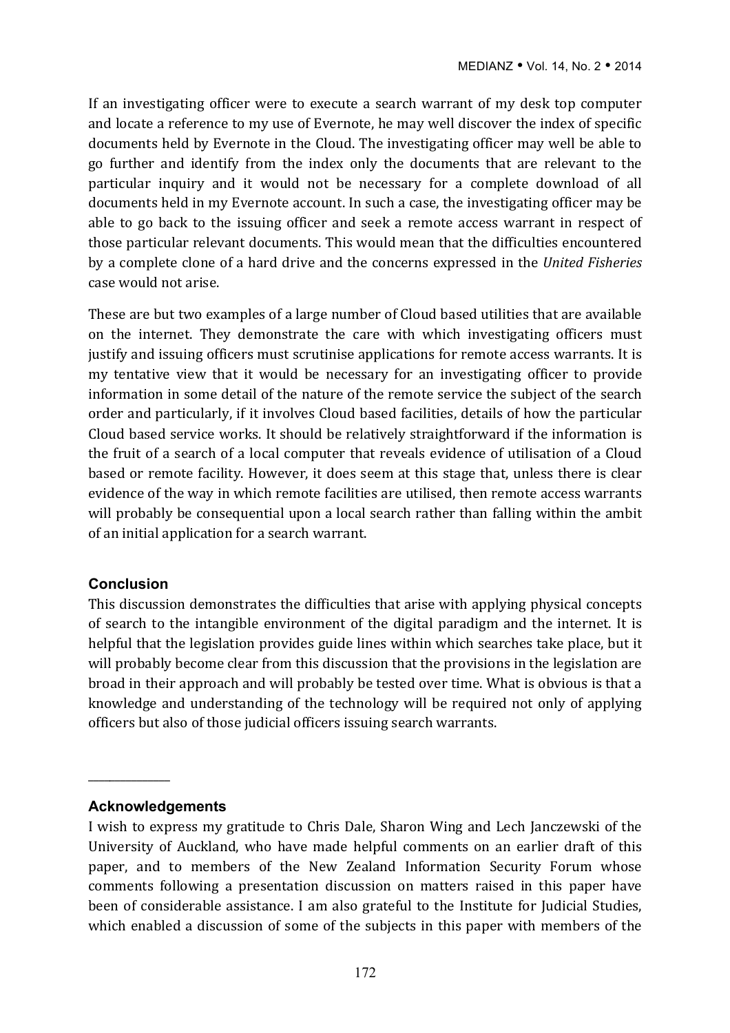If an investigating officer were to execute a search warrant of my desk top computer and locate a reference to my use of Evernote, he may well discover the index of specific documents held by Evernote in the Cloud. The investigating officer may well be able to go further and identify from the index only the documents that are relevant to the particular inquiry and it would not be necessary for a complete download of all documents held in my Evernote account. In such a case, the investigating officer may be able to go back to the issuing officer and seek a remote access warrant in respect of those particular relevant documents. This would mean that the difficulties encountered by a complete clone of a hard drive and the concerns expressed in the *United Fisheries* case would not arise.

These are but two examples of a large number of Cloud based utilities that are available on the internet. They demonstrate the care with which investigating officers must justify and issuing officers must scrutinise applications for remote access warrants. It is my tentative view that it would be necessary for an investigating officer to provide information in some detail of the nature of the remote service the subject of the search order and particularly, if it involves Cloud based facilities, details of how the particular Cloud based service works. It should be relatively straightforward if the information is the fruit of a search of a local computer that reveals evidence of utilisation of a Cloud based or remote facility. However, it does seem at this stage that, unless there is clear evidence of the way in which remote facilities are utilised, then remote access warrants will probably be consequential upon a local search rather than falling within the ambit of an initial application for a search warrant.

#### **Conclusion**

This discussion demonstrates the difficulties that arise with applying physical concepts of search to the intangible environment of the digital paradigm and the internet. It is helpful that the legislation provides guide lines within which searches take place, but it will probably become clear from this discussion that the provisions in the legislation are broad in their approach and will probably be tested over time. What is obvious is that a knowledge and understanding of the technology will be required not only of applying officers but also of those judicial officers issuing search warrants.

#### **Acknowledgements**

\_\_\_\_\_\_\_\_\_\_\_\_\_\_\_

I wish to express my gratitude to Chris Dale, Sharon Wing and Lech Janczewski of the University of Auckland, who have made helpful comments on an earlier draft of this paper, and to members of the New Zealand Information Security Forum whose comments following a presentation discussion on matters raised in this paper have been of considerable assistance. I am also grateful to the Institute for Judicial Studies, which enabled a discussion of some of the subjects in this paper with members of the